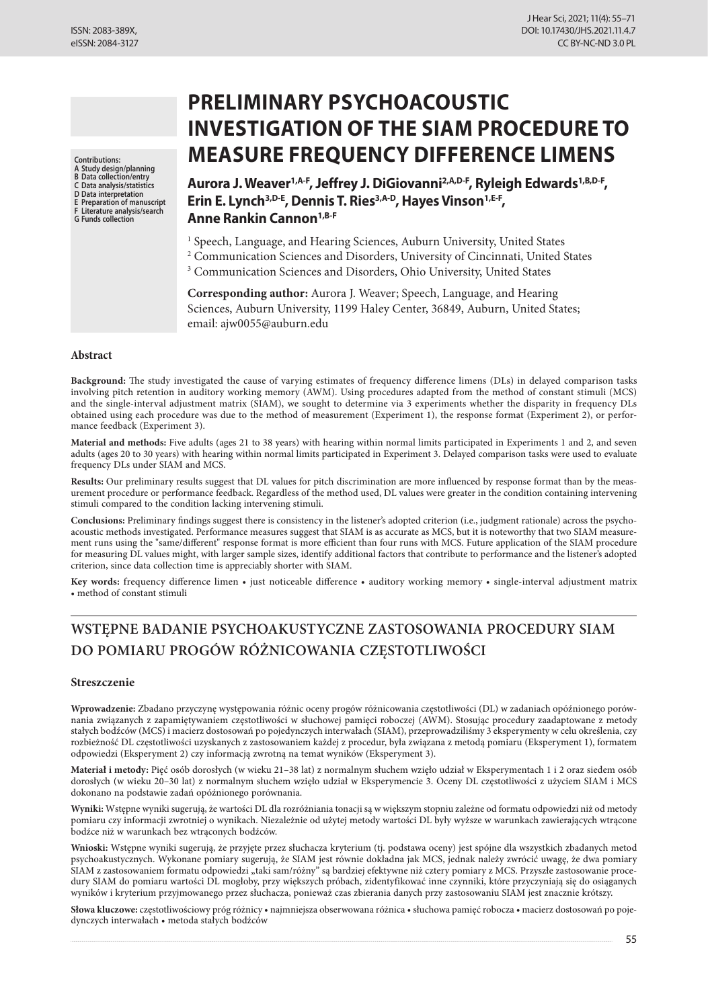**Contributions:**

**A Study design/planning B Data collection/entry**

**C Data analysis/statistics**

**D Data interpretation**

- **E Preparation of manuscript F Literature analysis/search**
- **G Funds collection**

# **PRELIMINARY PSYCHOACOUSTIC INVESTIGATION OF THE SIAM PROCEDURE TO MEASURE FREQUENCY DIFFERENCE LIMENS**

Aurora J. Weaver<sup>1,A-F</sup>, Jeffrey J. DiGiovanni<sup>2,A,D-F</sup>, Ryleigh Edwards<sup>1,B,D-F</sup>, **Erin E. Lynch3,D-E, Dennis T. Ries3,A-D, Hayes Vinson1,E-F, Anne Rankin Cannon1,B-F**

<sup>1</sup> Speech, Language, and Hearing Sciences, Auburn University, United States

- <sup>2</sup> Communication Sciences and Disorders, University of Cincinnati, United States
- <sup>3</sup> Communication Sciences and Disorders, Ohio University, United States

**Corresponding author:** Aurora J. Weaver; Speech, Language, and Hearing Sciences, Auburn University, 1199 Haley Center, 36849, Auburn, United States; email: ajw0055@auburn.edu

# **Abstract**

**Background:** The study investigated the cause of varying estimates of frequency difference limens (DLs) in delayed comparison tasks involving pitch retention in auditory working memory (AWM). Using procedures adapted from the method of constant stimuli (MCS) and the single-interval adjustment matrix (SIAM), we sought to determine via 3 experiments whether the disparity in frequency DLs obtained using each procedure was due to the method of measurement (Experiment 1), the response format (Experiment 2), or performance feedback (Experiment 3).

**Material and methods:** Five adults (ages 21 to 38 years) with hearing within normal limits participated in Experiments 1 and 2, and seven adults (ages 20 to 30 years) with hearing within normal limits participated in Experiment 3. Delayed comparison tasks were used to evaluate frequency DLs under SIAM and MCS.

**Results:** Our preliminary results suggest that DL values for pitch discrimination are more influenced by response format than by the measurement procedure or performance feedback. Regardless of the method used, DL values were greater in the condition containing intervening stimuli compared to the condition lacking intervening stimuli.

**Conclusions:** Preliminary findings suggest there is consistency in the listener's adopted criterion (i.e., judgment rationale) across the psychoacoustic methods investigated. Performance measures suggest that SIAM is as accurate as MCS, but it is noteworthy that two SIAM measurement runs using the "same/different" response format is more efficient than four runs with MCS. Future application of the SIAM procedure for measuring DL values might, with larger sample sizes, identify additional factors that contribute to performance and the listener's adopted criterion, since data collection time is appreciably shorter with SIAM.

**Key words:** frequency difference limen • just noticeable difference • auditory working memory • single-interval adjustment matrix • method of constant stimuli

# **WSTĘPNE BADANIE PSYCHOAKUSTYCZNE ZASTOSOWANIA PROCEDURY SIAM DO POMIARU PROGÓW RÓŻNICOWANIA CZĘSTOTLIWOŚCI**

# **Streszczenie**

**Wprowadzenie:** Zbadano przyczynę występowania różnic oceny progów różnicowania częstotliwości (DL) w zadaniach opóźnionego porównania związanych z zapamiętywaniem częstotliwości w słuchowej pamięci roboczej (AWM). Stosując procedury zaadaptowane z metody stałych bodźców (MCS) i macierz dostosowań po pojedynczych interwałach (SIAM), przeprowadziliśmy 3 eksperymenty w celu określenia, czy rozbieżność DL częstotliwości uzyskanych z zastosowaniem każdej z procedur, była związana z metodą pomiaru (Eksperyment 1), formatem odpowiedzi (Eksperyment 2) czy informacją zwrotną na temat wyników (Eksperyment 3).

**Materiał i metody:** Pięć osób dorosłych (w wieku 21–38 lat) z normalnym słuchem wzięło udział w Eksperymentach 1 i 2 oraz siedem osób dorosłych (w wieku 20–30 lat) z normalnym słuchem wzięło udział w Eksperymencie 3. Oceny DL częstotliwości z użyciem SIAM i MCS dokonano na podstawie zadań opóźnionego porównania.

**Wyniki:** Wstępne wyniki sugerują, że wartości DL dla rozróżniania tonacji są w większym stopniu zależne od formatu odpowiedzi niż od metody pomiaru czy informacji zwrotniej o wynikach. Niezależnie od użytej metody wartości DL były wyższe w warunkach zawierających wtrącone bodźce niż w warunkach bez wtrąconych bodźców.

**Wnioski:** Wstępne wyniki sugerują, że przyjęte przez słuchacza kryterium (tj. podstawa oceny) jest spójne dla wszystkich zbadanych metod psychoakustycznych. Wykonane pomiary sugerują, że SIAM jest równie dokładna jak MCS, jednak należy zwrócić uwagę, że dwa pomiary SIAM z zastosowaniem formatu odpowiedzi "taki sam/różny" są bardziej efektywne niż cztery pomiary z MCS. Przyszłe zastosowanie procedury SIAM do pomiaru wartości DL mogłoby, przy większych próbach, zidentyfikować inne czynniki, które przyczyniają się do osiąganych wyników i kryterium przyjmowanego przez słuchacza, ponieważ czas zbierania danych przy zastosowaniu SIAM jest znacznie krótszy.

**Słowa kluczowe:** częstotliwościowy próg różnicy • najmniejsza obserwowana różnica • słuchowa pamięć robocza • macierz dostosowań po pojedynczych interwałach • metoda stałych bodźców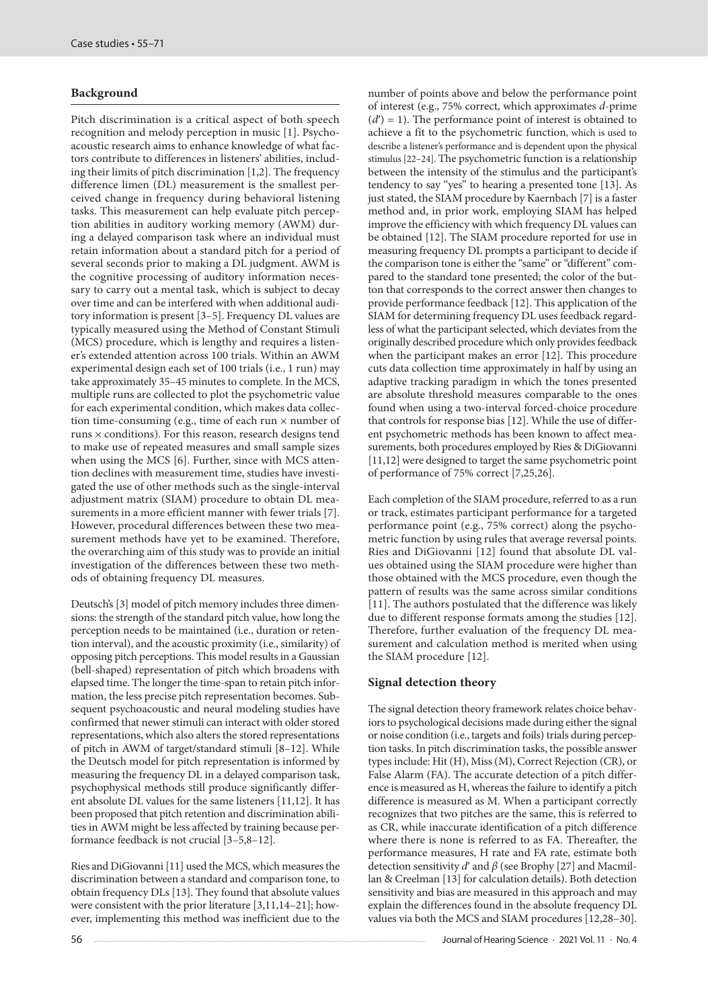# **Background**

Pitch discrimination is a critical aspect of both speech recognition and melody perception in music [1]. Psychoacoustic research aims to enhance knowledge of what factors contribute to differences in listeners' abilities, including their limits of pitch discrimination [1,2]. The frequency difference limen (DL) measurement is the smallest perceived change in frequency during behavioral listening tasks. This measurement can help evaluate pitch perception abilities in auditory working memory (AWM) during a delayed comparison task where an individual must retain information about a standard pitch for a period of several seconds prior to making a DL judgment. AWM is the cognitive processing of auditory information necessary to carry out a mental task, which is subject to decay over time and can be interfered with when additional auditory information is present [3*–*5]. Frequency DL values are typically measured using the Method of Constant Stimuli (MCS) procedure, which is lengthy and requires a listener's extended attention across 100 trials. Within an AWM experimental design each set of 100 trials (i.e., 1 run) may take approximately 35–45 minutes to complete. In the MCS, multiple runs are collected to plot the psychometric value for each experimental condition, which makes data collection time-consuming (e.g., time of each run × number of runs × conditions). For this reason, research designs tend to make use of repeated measures and small sample sizes when using the MCS [6]. Further, since with MCS attention declines with measurement time, studies have investigated the use of other methods such as the single-interval adjustment matrix (SIAM) procedure to obtain DL measurements in a more efficient manner with fewer trials [7]. However, procedural differences between these two measurement methods have yet to be examined. Therefore, the overarching aim of this study was to provide an initial investigation of the differences between these two methods of obtaining frequency DL measures.

Deutsch's [3] model of pitch memory includes three dimensions: the strength of the standard pitch value, how long the perception needs to be maintained (i.e., duration or retention interval), and the acoustic proximity (i.e., similarity) of opposing pitch perceptions. This model results in a Gaussian (bell-shaped) representation of pitch which broadens with elapsed time. The longer the time-span to retain pitch information, the less precise pitch representation becomes. Subsequent psychoacoustic and neural modeling studies have confirmed that newer stimuli can interact with older stored representations, which also alters the stored representations of pitch in AWM of target/standard stimuli [8–12]. While the Deutsch model for pitch representation is informed by measuring the frequency DL in a delayed comparison task, psychophysical methods still produce significantly different absolute DL values for the same listeners [11,12]. It has been proposed that pitch retention and discrimination abilities in AWM might be less affected by training because performance feedback is not crucial [3*–*5,8–12].

Ries and DiGiovanni [11] used the MCS, which measures the discrimination between a standard and comparison tone, to obtain frequency DLs [13]. They found that absolute values were consistent with the prior literature [3,11,14–21]; however, implementing this method was inefficient due to the number of points above and below the performance point of interest (e.g., 75% correct, which approximates *d*-prime  $(d') = 1$ ). The performance point of interest is obtained to achieve a fit to the psychometric function, which is used to describe a listener's performance and is dependent upon the physical stimulus [22–24]. The psychometric function is a relationship between the intensity of the stimulus and the participant's tendency to say "yes" to hearing a presented tone [13]. As just stated, the SIAM procedure by Kaernbach [7] is a faster method and, in prior work, employing SIAM has helped improve the efficiency with which frequency DL values can be obtained [12]. The SIAM procedure reported for use in measuring frequency DL prompts a participant to decide if the comparison tone is either the "same" or "different" compared to the standard tone presented; the color of the button that corresponds to the correct answer then changes to provide performance feedback [12]. This application of the SIAM for determining frequency DL uses feedback regardless of what the participant selected, which deviates from the originally described procedure which only provides feedback when the participant makes an error [12]. This procedure cuts data collection time approximately in half by using an adaptive tracking paradigm in which the tones presented are absolute threshold measures comparable to the ones found when using a two-interval forced-choice procedure that controls for response bias [12]. While the use of different psychometric methods has been known to affect measurements, both procedures employed by Ries & DiGiovanni [11,12] were designed to target the same psychometric point of performance of 75% correct [7,25,26].

Each completion of the SIAM procedure, referred to as a run or track, estimates participant performance for a targeted performance point (e.g., 75% correct) along the psychometric function by using rules that average reversal points. Ries and DiGiovanni [12] found that absolute DL values obtained using the SIAM procedure were higher than those obtained with the MCS procedure, even though the pattern of results was the same across similar conditions [11]. The authors postulated that the difference was likely due to different response formats among the studies [12]. Therefore, further evaluation of the frequency DL measurement and calculation method is merited when using the SIAM procedure [12].

### **Signal detection theory**

The signal detection theory framework relates choice behaviors to psychological decisions made during either the signal or noise condition (i.e., targets and foils) trials during perception tasks. In pitch discrimination tasks, the possible answer types include: Hit (H), Miss (M), Correct Rejection (CR), or False Alarm (FA). The accurate detection of a pitch difference is measured as H, whereas the failure to identify a pitch difference is measured as M. When a participant correctly recognizes that two pitches are the same, this is referred to as CR, while inaccurate identification of a pitch difference where there is none is referred to as FA. Thereafter, the performance measures, H rate and FA rate, estimate both detection sensitivity *d*ʹ and *β* (see Brophy [27] and Macmillan & Creelman [13] for calculation details). Both detection sensitivity and bias are measured in this approach and may explain the differences found in the absolute frequency DL values via both the MCS and SIAM procedures [12,28–30].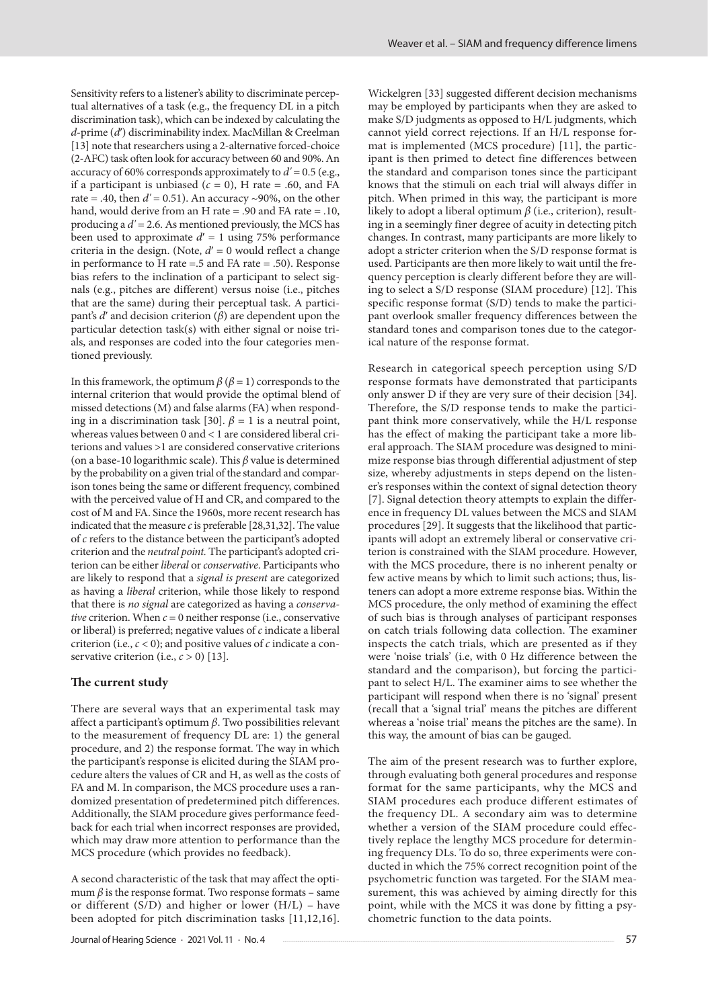Sensitivity refers to a listener's ability to discriminate perceptual alternatives of a task (e.g., the frequency DL in a pitch discrimination task), which can be indexed by calculating the *d*-prime (*d*ʹ) discriminability index. MacMillan & Creelman [13] note that researchers using a 2-alternative forced-choice (2-AFC) task often look for accuracy between 60 and 90%. An accuracy of 60% corresponds approximately to *d'* = 0.5 (e.g., if a participant is unbiased  $(c = 0)$ , H rate = .60, and FA rate = .40, then  $d'$  = 0.51). An accuracy ~90%, on the other hand, would derive from an H rate = .90 and FA rate = .10, producing a *d'* = 2.6. As mentioned previously, the MCS has been used to approximate  $d' = 1$  using 75% performance criteria in the design. (Note,  $d' = 0$  would reflect a change in performance to H rate =.5 and FA rate = .50). Response bias refers to the inclination of a participant to select signals (e.g., pitches are different) versus noise (i.e., pitches that are the same) during their perceptual task. A participant's *d*ʹ and decision criterion (*β*) are dependent upon the particular detection task(s) with either signal or noise trials, and responses are coded into the four categories mentioned previously.

In this framework, the optimum  $β$  ( $β = 1$ ) corresponds to the internal criterion that would provide the optimal blend of missed detections (M) and false alarms (FA) when responding in a discrimination task [30].  $\beta = 1$  is a neutral point, whereas values between 0 and < 1 are considered liberal criterions and values >1 are considered conservative criterions (on a base-10 logarithmic scale). This *β* value is determined by the probability on a given trial of the standard and comparison tones being the same or different frequency, combined with the perceived value of H and CR, and compared to the cost of M and FA. Since the 1960s, more recent research has indicated that the measure *c* is preferable [28,31,32]. The value of *c* refers to the distance between the participant's adopted criterion and the *neutral point.* The participant's adopted criterion can be either *liberal* or *conservative*. Participants who are likely to respond that a *signal is present* are categorized as having a *liberal* criterion, while those likely to respond that there is *no signal* are categorized as having a *conservative* criterion. When *c* = 0 neither response (i.e., conservative or liberal) is preferred; negative values of *c* indicate a liberal criterion (i.e.,  $c < 0$ ); and positive values of  $c$  indicate a conservative criterion (i.e.,  $c > 0$ ) [13].

#### **The current study**

There are several ways that an experimental task may affect a participant's optimum *β*. Two possibilities relevant to the measurement of frequency DL are: 1) the general procedure, and 2) the response format. The way in which the participant's response is elicited during the SIAM procedure alters the values of CR and H, as well as the costs of FA and M. In comparison, the MCS procedure uses a randomized presentation of predetermined pitch differences. Additionally, the SIAM procedure gives performance feedback for each trial when incorrect responses are provided, which may draw more attention to performance than the MCS procedure (which provides no feedback).

A second characteristic of the task that may affect the optimum  $\beta$  is the response format. Two response formats – same or different  $(S/D)$  and higher or lower  $(H/L)$  – have been adopted for pitch discrimination tasks [11,12,16]. Wickelgren [33] suggested different decision mechanisms may be employed by participants when they are asked to make S/D judgments as opposed to H/L judgments, which cannot yield correct rejections. If an H/L response format is implemented (MCS procedure) [11], the participant is then primed to detect fine differences between the standard and comparison tones since the participant knows that the stimuli on each trial will always differ in pitch. When primed in this way, the participant is more likely to adopt a liberal optimum *β* (i.e., criterion), resulting in a seemingly finer degree of acuity in detecting pitch changes. In contrast, many participants are more likely to adopt a stricter criterion when the S/D response format is used. Participants are then more likely to wait until the frequency perception is clearly different before they are willing to select a S/D response (SIAM procedure) [12]. This specific response format (S/D) tends to make the participant overlook smaller frequency differences between the standard tones and comparison tones due to the categorical nature of the response format.

Research in categorical speech perception using S/D response formats have demonstrated that participants only answer D if they are very sure of their decision [34]. Therefore, the S/D response tends to make the participant think more conservatively, while the H/L response has the effect of making the participant take a more liberal approach. The SIAM procedure was designed to minimize response bias through differential adjustment of step size, whereby adjustments in steps depend on the listener's responses within the context of signal detection theory [7]. Signal detection theory attempts to explain the difference in frequency DL values between the MCS and SIAM procedures [29]. It suggests that the likelihood that participants will adopt an extremely liberal or conservative criterion is constrained with the SIAM procedure. However, with the MCS procedure, there is no inherent penalty or few active means by which to limit such actions; thus, listeners can adopt a more extreme response bias. Within the MCS procedure, the only method of examining the effect of such bias is through analyses of participant responses on catch trials following data collection. The examiner inspects the catch trials, which are presented as if they were 'noise trials' (i.e, with 0 Hz difference between the standard and the comparison), but forcing the participant to select H/L. The examiner aims to see whether the participant will respond when there is no 'signal' present (recall that a 'signal trial' means the pitches are different whereas a 'noise trial' means the pitches are the same). In this way, the amount of bias can be gauged.

The aim of the present research was to further explore, through evaluating both general procedures and response format for the same participants, why the MCS and SIAM procedures each produce different estimates of the frequency DL. A secondary aim was to determine whether a version of the SIAM procedure could effectively replace the lengthy MCS procedure for determining frequency DLs. To do so, three experiments were conducted in which the 75% correct recognition point of the psychometric function was targeted. For the SIAM measurement, this was achieved by aiming directly for this point, while with the MCS it was done by fitting a psychometric function to the data points.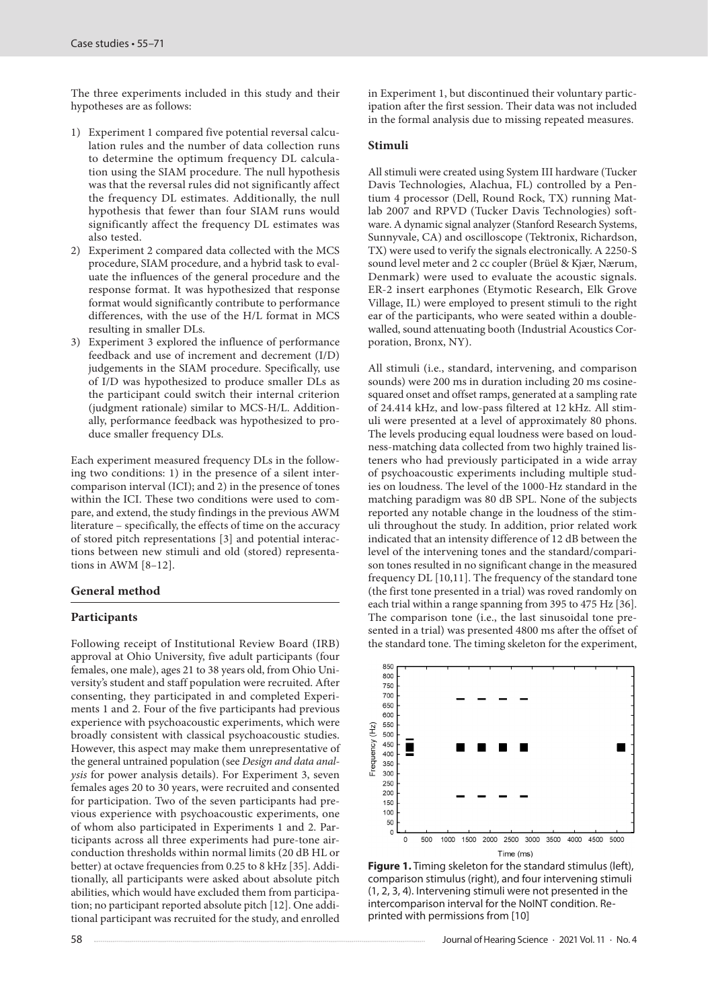The three experiments included in this study and their hypotheses are as follows:

- 1) Experiment 1 compared five potential reversal calculation rules and the number of data collection runs to determine the optimum frequency DL calculation using the SIAM procedure. The null hypothesis was that the reversal rules did not significantly affect the frequency DL estimates. Additionally, the null hypothesis that fewer than four SIAM runs would significantly affect the frequency DL estimates was also tested.
- 2) Experiment 2 compared data collected with the MCS procedure, SIAM procedure, and a hybrid task to evaluate the influences of the general procedure and the response format. It was hypothesized that response format would significantly contribute to performance differences, with the use of the H/L format in MCS resulting in smaller DLs.
- 3) Experiment 3 explored the influence of performance feedback and use of increment and decrement (I/D) judgements in the SIAM procedure. Specifically, use of I/D was hypothesized to produce smaller DLs as the participant could switch their internal criterion (judgment rationale) similar to MCS-H/L. Additionally, performance feedback was hypothesized to produce smaller frequency DLs.

Each experiment measured frequency DLs in the following two conditions: 1) in the presence of a silent intercomparison interval (ICI); and 2) in the presence of tones within the ICI. These two conditions were used to compare, and extend, the study findings in the previous AWM literature – specifically, the effects of time on the accuracy of stored pitch representations [3] and potential interactions between new stimuli and old (stored) representations in AWM [8*–*12].

#### **General method**

#### **Participants**

Following receipt of Institutional Review Board (IRB) approval at Ohio University, five adult participants (four females, one male), ages 21 to 38 years old, from Ohio University's student and staff population were recruited. After consenting, they participated in and completed Experiments 1 and 2. Four of the five participants had previous experience with psychoacoustic experiments, which were broadly consistent with classical psychoacoustic studies. However, this aspect may make them unrepresentative of the general untrained population (see *Design and data analysis* for power analysis details). For Experiment 3, seven females ages 20 to 30 years, were recruited and consented for participation. Two of the seven participants had previous experience with psychoacoustic experiments, one of whom also participated in Experiments 1 and 2. Participants across all three experiments had pure-tone airconduction thresholds within normal limits (20 dB HL or better) at octave frequencies from 0.25 to 8 kHz [35]. Additionally, all participants were asked about absolute pitch abilities, which would have excluded them from participation; no participant reported absolute pitch [12]. One additional participant was recruited for the study, and enrolled in Experiment 1, but discontinued their voluntary participation after the first session. Their data was not included in the formal analysis due to missing repeated measures.

#### **Stimuli**

All stimuli were created using System III hardware (Tucker Davis Technologies, Alachua, FL) controlled by a Pentium 4 processor (Dell, Round Rock, TX) running Matlab 2007 and RPVD (Tucker Davis Technologies) software. A dynamic signal analyzer (Stanford Research Systems, Sunnyvale, CA) and oscilloscope (Tektronix, Richardson, TX) were used to verify the signals electronically. A 2250-S sound level meter and 2 cc coupler (Brüel & Kjær, Nærum, Denmark) were used to evaluate the acoustic signals. ER-2 insert earphones (Etymotic Research, Elk Grove Village, IL) were employed to present stimuli to the right ear of the participants, who were seated within a doublewalled, sound attenuating booth (Industrial Acoustics Corporation, Bronx, NY).

All stimuli (i.e., standard, intervening, and comparison sounds) were 200 ms in duration including 20 ms cosinesquared onset and offset ramps, generated at a sampling rate of 24.414 kHz, and low-pass filtered at 12 kHz. All stimuli were presented at a level of approximately 80 phons. The levels producing equal loudness were based on loudness-matching data collected from two highly trained listeners who had previously participated in a wide array of psychoacoustic experiments including multiple studies on loudness. The level of the 1000-Hz standard in the matching paradigm was 80 dB SPL. None of the subjects reported any notable change in the loudness of the stimuli throughout the study. In addition, prior related work indicated that an intensity difference of 12 dB between the level of the intervening tones and the standard/comparison tones resulted in no significant change in the measured frequency DL [10,11]. The frequency of the standard tone (the first tone presented in a trial) was roved randomly on each trial within a range spanning from 395 to 475 Hz [36]. The comparison tone (i.e., the last sinusoidal tone presented in a trial) was presented 4800 ms after the offset of the standard tone. The timing skeleton for the experiment,



**Figure 1.** Timing skeleton for the standard stimulus (left), comparison stimulus (right), and four intervening stimuli (1, 2, 3, 4). Intervening stimuli were not presented in the intercomparison interval for the NoINT condition. Reprinted with permissions from [10]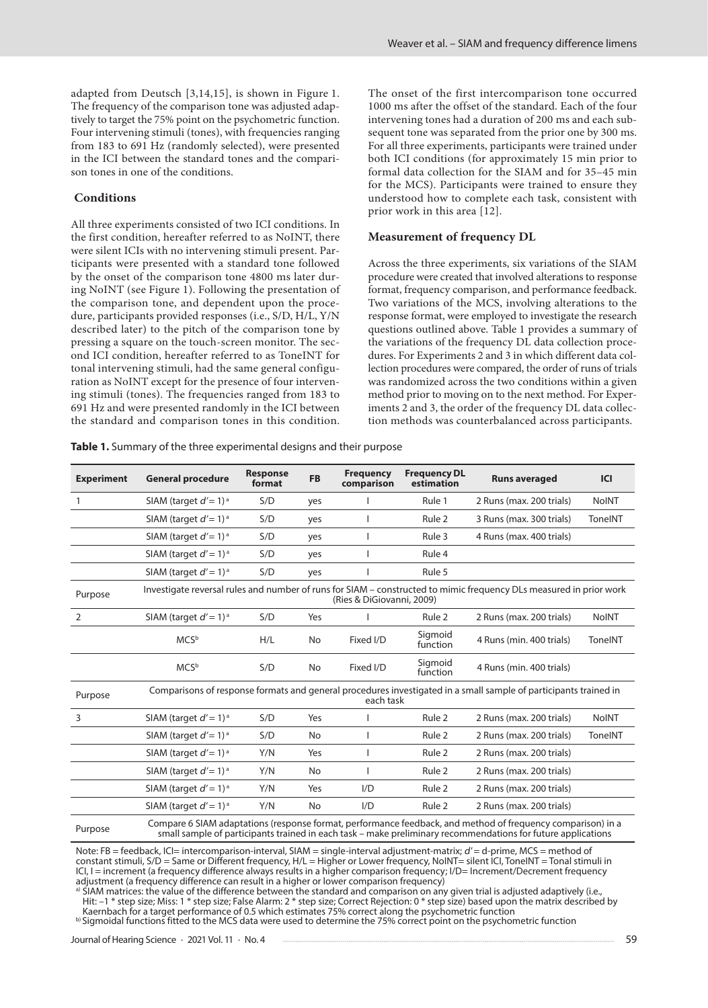adapted from Deutsch [3,14,15], is shown in Figure 1. The frequency of the comparison tone was adjusted adaptively to target the 75% point on the psychometric function. Four intervening stimuli (tones), with frequencies ranging from 183 to 691 Hz (randomly selected), were presented in the ICI between the standard tones and the comparison tones in one of the conditions.

#### **Conditions**

All three experiments consisted of two ICI conditions. In the first condition, hereafter referred to as NoINT, there were silent ICIs with no intervening stimuli present. Participants were presented with a standard tone followed by the onset of the comparison tone 4800 ms later during NoINT (see Figure 1). Following the presentation of the comparison tone, and dependent upon the procedure, participants provided responses (i.e., S/D, H/L, Y/N described later) to the pitch of the comparison tone by pressing a square on the touch-screen monitor. The second ICI condition, hereafter referred to as ToneINT for tonal intervening stimuli, had the same general configuration as NoINT except for the presence of four intervening stimuli (tones). The frequencies ranged from 183 to 691 Hz and were presented randomly in the ICI between the standard and comparison tones in this condition. The onset of the first intercomparison tone occurred 1000 ms after the offset of the standard. Each of the four intervening tones had a duration of 200 ms and each subsequent tone was separated from the prior one by 300 ms. For all three experiments, participants were trained under both ICI conditions (for approximately 15 min prior to formal data collection for the SIAM and for 35–45 min for the MCS). Participants were trained to ensure they understood how to complete each task, consistent with prior work in this area [12].

#### **Measurement of frequency DL**

Across the three experiments, six variations of the SIAM procedure were created that involved alterations to response format, frequency comparison, and performance feedback. Two variations of the MCS, involving alterations to the response format, were employed to investigate the research questions outlined above. Table 1 provides a summary of the variations of the frequency DL data collection procedures. For Experiments 2 and 3 in which different data collection procedures were compared, the order of runs of trials was randomized across the two conditions within a given method prior to moving on to the next method. For Experiments 2 and 3, the order of the frequency DL data collection methods was counterbalanced across participants.

**Table 1.** Summary of the three experimental designs and their purpose

| <b>Experiment</b> | <b>General procedure</b>                                                                                                                                                                                                    | <b>Response</b><br>format | <b>FB</b> | <b>Frequency</b><br>comparison | <b>Frequency DL</b><br>estimation | <b>Runs averaged</b>                                                                                               | <b>ICI</b>   |
|-------------------|-----------------------------------------------------------------------------------------------------------------------------------------------------------------------------------------------------------------------------|---------------------------|-----------|--------------------------------|-----------------------------------|--------------------------------------------------------------------------------------------------------------------|--------------|
|                   | SIAM (target $d'=1$ ) <sup>a</sup>                                                                                                                                                                                          | S/D                       | yes       |                                | Rule 1                            | 2 Runs (max. 200 trials)                                                                                           | <b>NoINT</b> |
|                   | SIAM (target $d'=1$ ) <sup>a</sup>                                                                                                                                                                                          | S/D                       | yes       |                                | Rule 2                            | 3 Runs (max. 300 trials)                                                                                           | ToneINT      |
|                   | SIAM (target $d'=1$ ) <sup>a</sup>                                                                                                                                                                                          | S/D                       | yes       |                                | Rule 3                            | 4 Runs (max. 400 trials)                                                                                           |              |
|                   | SIAM (target $d'=1$ ) <sup>a</sup>                                                                                                                                                                                          | S/D                       | yes       |                                | Rule 4                            |                                                                                                                    |              |
|                   | SIAM (target $d'=1$ ) <sup>a</sup>                                                                                                                                                                                          | S/D                       | yes       |                                | Rule 5                            |                                                                                                                    |              |
| Purpose           |                                                                                                                                                                                                                             |                           |           | (Ries & DiGiovanni, 2009)      |                                   | Investigate reversal rules and number of runs for SIAM - constructed to mimic frequency DLs measured in prior work |              |
| 2                 | SIAM (target $d'=1$ ) <sup>a</sup>                                                                                                                                                                                          | S/D                       | Yes       |                                | Rule 2                            | 2 Runs (max. 200 trials)                                                                                           | <b>NoINT</b> |
|                   | MCS <sup>b</sup>                                                                                                                                                                                                            | H/L                       | No        | Fixed I/D                      | Sigmoid<br>function               | 4 Runs (min. 400 trials)                                                                                           | ToneINT      |
|                   | <b>MCS</b> <sup>b</sup>                                                                                                                                                                                                     | S/D                       | No        | Fixed I/D                      | Sigmoid<br>function               | 4 Runs (min. 400 trials)                                                                                           |              |
| Purpose           | Comparisons of response formats and general procedures investigated in a small sample of participants trained in<br>each task                                                                                               |                           |           |                                |                                   |                                                                                                                    |              |
| 3                 | SIAM (target $d'=1$ ) <sup>a</sup>                                                                                                                                                                                          | S/D                       | Yes       |                                | Rule 2                            | 2 Runs (max. 200 trials)                                                                                           | <b>NoINT</b> |
|                   | SIAM (target $d'=1$ ) <sup>a</sup>                                                                                                                                                                                          | S/D                       | No        |                                | Rule 2                            | 2 Runs (max. 200 trials)                                                                                           | ToneINT      |
|                   | SIAM (target $d'=1$ ) <sup>a</sup>                                                                                                                                                                                          | Y/N                       | Yes       |                                | Rule <sub>2</sub>                 | 2 Runs (max. 200 trials)                                                                                           |              |
|                   | SIAM (target $d'=1$ ) <sup>a</sup>                                                                                                                                                                                          | Y/N                       | No        |                                | Rule 2                            | 2 Runs (max. 200 trials)                                                                                           |              |
|                   | SIAM (target $d'=1$ ) <sup>a</sup>                                                                                                                                                                                          | Y/N                       | Yes       | I/D                            | Rule 2                            | 2 Runs (max. 200 trials)                                                                                           |              |
|                   | SIAM (target $d'=1$ ) <sup>a</sup>                                                                                                                                                                                          | Y/N                       | No        | I/D                            | Rule 2                            | 2 Runs (max. 200 trials)                                                                                           |              |
| Purpose           | Compare 6 SIAM adaptations (response format, performance feedback, and method of frequency comparison) in a<br>small sample of participants trained in each task – make preliminary recommendations for future applications |                           |           |                                |                                   |                                                                                                                    |              |

Note: FB = feedback, ICI= intercomparison-interval, SIAM = single-interval adjustment-matrix; d' = d-prime, MCS = method of constant stimuli, S/D = Same or Different frequency, H/L = Higher or Lower frequency, NoINT= silent ICI, ToneINT = Tonal stimuli in ICI, I = increment (a frequency difference always results in a higher comparison frequency; I/D= Increment/Decrement frequency adjustment (a frequency difference can result in a higher or lower comparison frequency)

<sup>a)</sup> SIAM matrices: the value of the difference between the standard and comparison on any given trial is adjusted adaptively (i.e., Hit: –1 \* step size; Miss: 1 \* step size; False Alarm: 2 \* step size; Correct Rejection: 0 \* step size) based upon the matrix described by Kaernbach for a target performance of 0.5 which estimates 75% correct along the psychometric function<br><sup>b)</sup> Sigmoidal functions fitted to the MCS data were used to determine the 75% correct point on the psychometric functio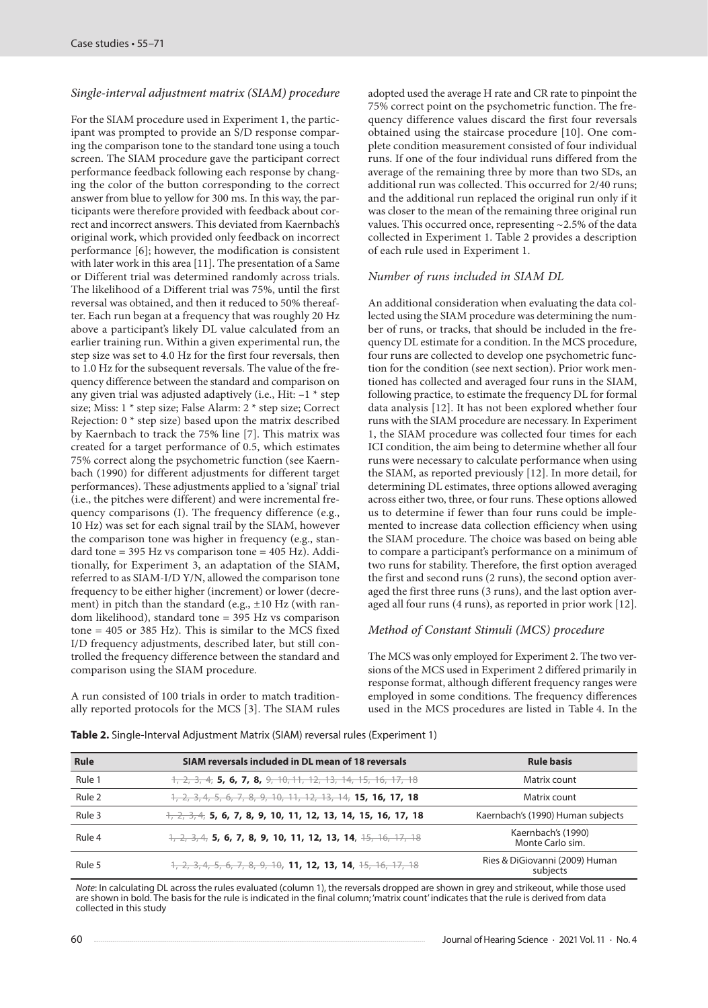#### *Single-interval adjustment matrix (SIAM) procedure*

For the SIAM procedure used in Experiment 1, the participant was prompted to provide an S/D response comparing the comparison tone to the standard tone using a touch screen. The SIAM procedure gave the participant correct performance feedback following each response by changing the color of the button corresponding to the correct answer from blue to yellow for 300 ms. In this way, the participants were therefore provided with feedback about correct and incorrect answers. This deviated from Kaernbach's original work, which provided only feedback on incorrect performance [6]; however, the modification is consistent with later work in this area [11]. The presentation of a Same or Different trial was determined randomly across trials. The likelihood of a Different trial was 75%, until the first reversal was obtained, and then it reduced to 50% thereafter. Each run began at a frequency that was roughly 20 Hz above a participant's likely DL value calculated from an earlier training run. Within a given experimental run, the step size was set to 4.0 Hz for the first four reversals, then to 1.0 Hz for the subsequent reversals. The value of the frequency difference between the standard and comparison on any given trial was adjusted adaptively (i.e., Hit:  $-1$   $*$  step size; Miss: 1 \* step size; False Alarm: 2 \* step size; Correct Rejection: 0 \* step size) based upon the matrix described by Kaernbach to track the 75% line [7]. This matrix was created for a target performance of 0.5, which estimates 75% correct along the psychometric function (see Kaernbach (1990) for different adjustments for different target performances). These adjustments applied to a 'signal' trial (i.e., the pitches were different) and were incremental frequency comparisons (I). The frequency difference (e.g., 10 Hz) was set for each signal trail by the SIAM, however the comparison tone was higher in frequency (e.g., standard tone =  $395$  Hz vs comparison tone =  $405$  Hz). Additionally, for Experiment 3, an adaptation of the SIAM, referred to as SIAM-I/D Y/N, allowed the comparison tone frequency to be either higher (increment) or lower (decrement) in pitch than the standard (e.g., ±10 Hz (with random likelihood), standard tone = 395 Hz vs comparison tone =  $405$  or  $385$  Hz). This is similar to the MCS fixed I/D frequency adjustments, described later, but still controlled the frequency difference between the standard and comparison using the SIAM procedure.

A run consisted of 100 trials in order to match traditionally reported protocols for the MCS [3]. The SIAM rules adopted used the average H rate and CR rate to pinpoint the 75% correct point on the psychometric function. The frequency difference values discard the first four reversals obtained using the staircase procedure [10]. One complete condition measurement consisted of four individual runs. If one of the four individual runs differed from the average of the remaining three by more than two SDs, an additional run was collected. This occurred for 2/40 runs; and the additional run replaced the original run only if it was closer to the mean of the remaining three original run values. This occurred once, representing ~2.5% of the data collected in Experiment 1. Table 2 provides a description of each rule used in Experiment 1.

#### *Number of runs included in SIAM DL*

An additional consideration when evaluating the data collected using the SIAM procedure was determining the number of runs, or tracks, that should be included in the frequency DL estimate for a condition. In the MCS procedure, four runs are collected to develop one psychometric function for the condition (see next section). Prior work mentioned has collected and averaged four runs in the SIAM, following practice, to estimate the frequency DL for formal data analysis [12]. It has not been explored whether four runs with the SIAM procedure are necessary. In Experiment 1, the SIAM procedure was collected four times for each ICI condition, the aim being to determine whether all four runs were necessary to calculate performance when using the SIAM, as reported previously [12]. In more detail, for determining DL estimates, three options allowed averaging across either two, three, or four runs. These options allowed us to determine if fewer than four runs could be implemented to increase data collection efficiency when using the SIAM procedure. The choice was based on being able to compare a participant's performance on a minimum of two runs for stability. Therefore, the first option averaged the first and second runs (2 runs), the second option averaged the first three runs (3 runs), and the last option averaged all four runs (4 runs), as reported in prior work [12].

# *Method of Constant Stimuli (MCS) procedure*

The MCS was only employed for Experiment 2. The two versions of the MCS used in Experiment 2 differed primarily in response format, although different frequency ranges were employed in some conditions. The frequency differences used in the MCS procedures are listed in Table 4. In the

| Rule   | SIAM reversals included in DL mean of 18 reversals                                                                                   | <b>Rule basis</b>                          |
|--------|--------------------------------------------------------------------------------------------------------------------------------------|--------------------------------------------|
| Rule 1 | $1, 2, 3, 4, 5, 6, 7, 8, 9, 10, 11, 12, 13, 14, 15, 16, 17, 18$                                                                      | Matrix count                               |
| Rule 2 | 1, 2, 3, 4, 5, 6, 7, 8, 9, 10, 11, 12, 13, 14, <b>15, 16, 17, 18</b>                                                                 | Matrix count                               |
| Rule 3 | $\frac{1}{2}, \frac{1}{2}, \frac{1}{2}, \frac{1}{2}$ , 5, 6, 7, 8, 9, 10, 11, 12, 13, 14, 15, 16, 17, 18                             | Kaernbach's (1990) Human subjects          |
| Rule 4 | $\frac{1}{2}$ , $\frac{1}{2}$ , $\frac{1}{2}$ , $\frac{1}{2}$ , <b>5, 6, 7, 8, 9, 10, 11, 12, 13, 14</b> , <del>15, 16, 17, 18</del> | Kaernbach's (1990)<br>Monte Carlo sim.     |
| Rule 5 | 1, 2, 3, 4, 5, 6, 7, 8, 9, 10, <b>11, 12, 13, 14</b> , <del>15, 16, 17, 18</del>                                                     | Ries & DiGiovanni (2009) Human<br>subjects |

**Table 2.** Single-Interval Adjustment Matrix (SIAM) reversal rules (Experiment 1)

*Note*: In calculating DL across the rules evaluated (column 1), the reversals dropped are shown in grey and strikeout, while those used are shown in bold. The basis for the rule is indicated in the final column; 'matrix count' indicates that the rule is derived from data collected in this study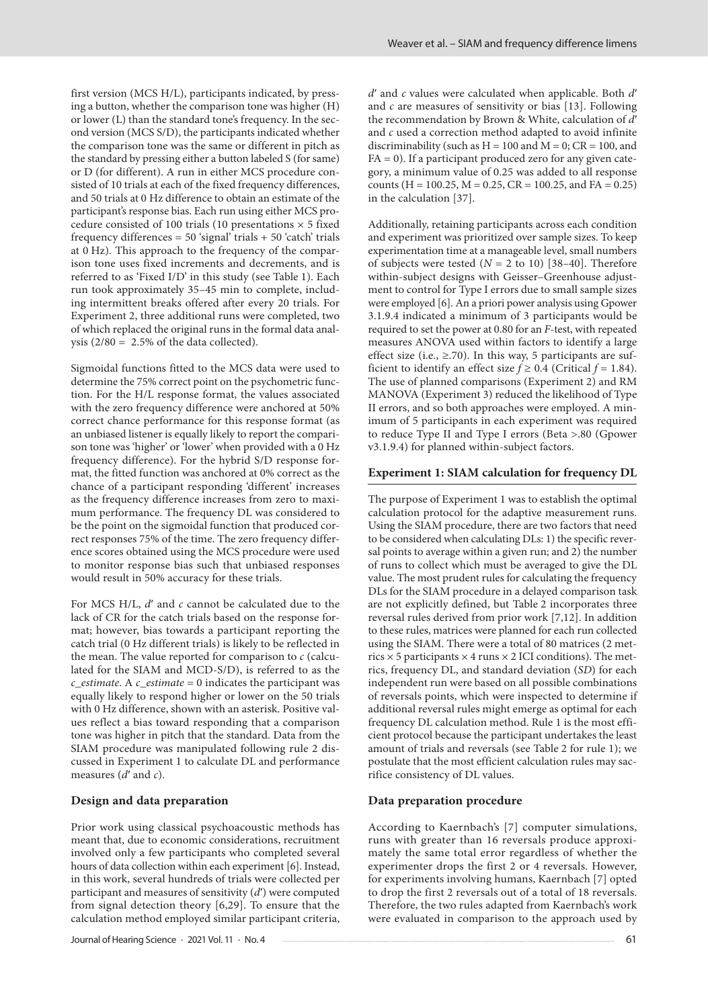first version (MCS H/L), participants indicated, by pressing a button, whether the comparison tone was higher (H) or lower (L) than the standard tone's frequency. In the second version (MCS S/D), the participants indicated whether the comparison tone was the same or different in pitch as the standard by pressing either a button labeled S (for same) or D (for different). A run in either MCS procedure consisted of 10 trials at each of the fixed frequency differences, and 50 trials at 0 Hz difference to obtain an estimate of the participant's response bias. Each run using either MCS procedure consisted of 100 trials (10 presentations  $\times$  5 fixed frequency differences =  $50$  'signal' trials +  $50$  'catch' trials at 0 Hz). This approach to the frequency of the comparison tone uses fixed increments and decrements, and is referred to as 'Fixed I/D' in this study (see Table 1). Each run took approximately 35–45 min to complete, including intermittent breaks offered after every 20 trials. For Experiment 2, three additional runs were completed, two of which replaced the original runs in the formal data analysis  $(2/80 = 2.5\%$  of the data collected).

Sigmoidal functions fitted to the MCS data were used to determine the 75% correct point on the psychometric function. For the H/L response format, the values associated with the zero frequency difference were anchored at 50% correct chance performance for this response format (as an unbiased listener is equally likely to report the comparison tone was 'higher' or 'lower' when provided with a 0 Hz frequency difference). For the hybrid S/D response format, the fitted function was anchored at 0% correct as the chance of a participant responding 'different' increases as the frequency difference increases from zero to maximum performance. The frequency DL was considered to be the point on the sigmoidal function that produced correct responses 75% of the time. The zero frequency difference scores obtained using the MCS procedure were used to monitor response bias such that unbiased responses would result in 50% accuracy for these trials.

For MCS H/L,  $d'$  and  $c$  cannot be calculated due to the lack of CR for the catch trials based on the response format; however, bias towards a participant reporting the catch trial (0 Hz different trials) is likely to be reflected in the mean. The value reported for comparison to *c* (calculated for the SIAM and MCD-S/D), is referred to as the *c\_estimate*. A *c\_estimate* = 0 indicates the participant was equally likely to respond higher or lower on the 50 trials with 0 Hz difference, shown with an asterisk. Positive values reflect a bias toward responding that a comparison tone was higher in pitch that the standard. Data from the SIAM procedure was manipulated following rule 2 discussed in Experiment 1 to calculate DL and performance measures (*d*ʹ and *c*).

#### **Design and data preparation**

Prior work using classical psychoacoustic methods has meant that, due to economic considerations, recruitment involved only a few participants who completed several hours of data collection within each experiment [6]. Instead, in this work, several hundreds of trials were collected per participant and measures of sensitivity (*d*ʹ) were computed from signal detection theory [6,29]. To ensure that the calculation method employed similar participant criteria, *d*ʹ and *c* values were calculated when applicable. Both *d*ʹ and *c* are measures of sensitivity or bias [13]. Following the recommendation by Brown & White, calculation of *d*ʹ and *c* used a correction method adapted to avoid infinite discriminability (such as  $H = 100$  and  $M = 0$ ;  $CR = 100$ , and  $FA = 0$ ). If a participant produced zero for any given category, a minimum value of 0.25 was added to all response counts (H = 100.25, M = 0.25, CR = 100.25, and FA = 0.25) in the calculation [37].

Additionally, retaining participants across each condition and experiment was prioritized over sample sizes. To keep experimentation time at a manageable level, small numbers of subjects were tested (*N* = 2 to 10) [38*–*40]. Therefore within-subject designs with Geisser–Greenhouse adjustment to control for Type I errors due to small sample sizes were employed [6]. An a priori power analysis using Gpower 3.1.9.4 indicated a minimum of 3 participants would be required to set the power at 0.80 for an *F*-test, with repeated measures ANOVA used within factors to identify a large effect size (i.e.,  $\geq$ .70). In this way, 5 participants are sufficient to identify an effect size  $f \ge 0.4$  (Critical  $f = 1.84$ ). The use of planned comparisons (Experiment 2) and RM MANOVA (Experiment 3) reduced the likelihood of Type II errors, and so both approaches were employed. A minimum of 5 participants in each experiment was required to reduce Type II and Type I errors (Beta >.80 (Gpower v3.1.9.4) for planned within-subject factors.

#### **Experiment 1: SIAM calculation for frequency DL**

The purpose of Experiment 1 was to establish the optimal calculation protocol for the adaptive measurement runs. Using the SIAM procedure, there are two factors that need to be considered when calculating DLs: 1) the specific reversal points to average within a given run; and 2) the number of runs to collect which must be averaged to give the DL value. The most prudent rules for calculating the frequency DLs for the SIAM procedure in a delayed comparison task are not explicitly defined, but Table 2 incorporates three reversal rules derived from prior work [7,12]. In addition to these rules, matrices were planned for each run collected using the SIAM. There were a total of 80 matrices (2 metrics  $\times$  5 participants  $\times$  4 runs  $\times$  2 ICI conditions). The metrics, frequency DL, and standard deviation (*SD*) for each independent run were based on all possible combinations of reversals points, which were inspected to determine if additional reversal rules might emerge as optimal for each frequency DL calculation method. Rule 1 is the most efficient protocol because the participant undertakes the least amount of trials and reversals (see Table 2 for rule 1); we postulate that the most efficient calculation rules may sacrifice consistency of DL values.

#### **Data preparation procedure**

According to Kaernbach's [7] computer simulations, runs with greater than 16 reversals produce approximately the same total error regardless of whether the experimenter drops the first 2 or 4 reversals. However, for experiments involving humans, Kaernbach [7] opted to drop the first 2 reversals out of a total of 18 reversals. Therefore, the two rules adapted from Kaernbach's work were evaluated in comparison to the approach used by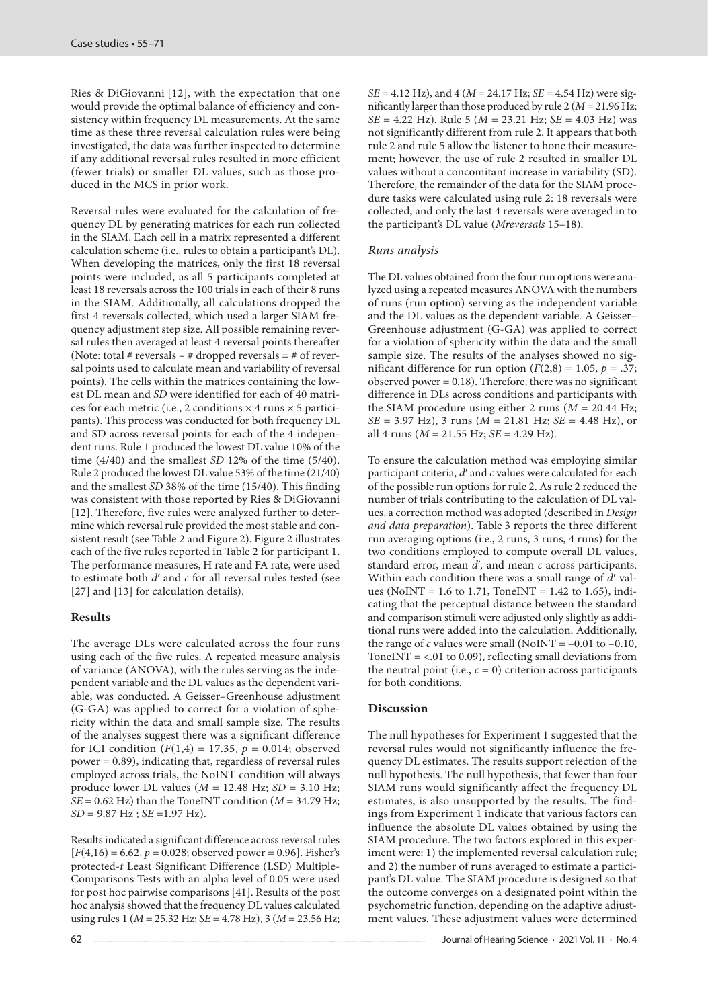Ries & DiGiovanni [12], with the expectation that one would provide the optimal balance of efficiency and consistency within frequency DL measurements. At the same time as these three reversal calculation rules were being investigated, the data was further inspected to determine if any additional reversal rules resulted in more efficient (fewer trials) or smaller DL values, such as those produced in the MCS in prior work.

Reversal rules were evaluated for the calculation of frequency DL by generating matrices for each run collected in the SIAM. Each cell in a matrix represented a different calculation scheme (i.e., rules to obtain a participant's DL). When developing the matrices, only the first 18 reversal points were included, as all 5 participants completed at least 18 reversals across the 100 trials in each of their 8 runs in the SIAM. Additionally, all calculations dropped the first 4 reversals collected, which used a larger SIAM frequency adjustment step size. All possible remaining reversal rules then averaged at least 4 reversal points thereafter (Note: total # reversals – # dropped reversals = # of reversal points used to calculate mean and variability of reversal points). The cells within the matrices containing the lowest DL mean and *SD* were identified for each of 40 matrices for each metric (i.e., 2 conditions  $\times$  4 runs  $\times$  5 participants). This process was conducted for both frequency DL and SD across reversal points for each of the 4 independent runs. Rule 1 produced the lowest DL value 10% of the time (4/40) and the smallest *SD* 12% of the time (5/40). Rule 2 produced the lowest DL value 53% of the time (21/40) and the smallest *SD* 38% of the time (15/40). This finding was consistent with those reported by Ries & DiGiovanni [12]. Therefore, five rules were analyzed further to determine which reversal rule provided the most stable and consistent result (see Table 2 and Figure 2). Figure 2 illustrates each of the five rules reported in Table 2 for participant 1. The performance measures, H rate and FA rate, were used to estimate both *d*ʹ and *c* for all reversal rules tested (see [27] and [13] for calculation details).

# **Results**

The average DLs were calculated across the four runs using each of the five rules. A repeated measure analysis of variance (ANOVA), with the rules serving as the independent variable and the DL values as the dependent variable, was conducted. A Geisser–Greenhouse adjustment (G-GA) was applied to correct for a violation of sphericity within the data and small sample size. The results of the analyses suggest there was a significant difference for ICI condition  $(F(1,4) = 17.35, p = 0.014;$  observed power = 0.89), indicating that, regardless of reversal rules employed across trials, the NoINT condition will always produce lower DL values (*M* = 12.48 Hz; *SD* = 3.10 Hz;  $SE = 0.62$  Hz) than the ToneINT condition ( $M = 34.79$  Hz; *SD* = 9.87 Hz ; *SE* =1.97 Hz).

Results indicated a significant difference across reversal rules  $[F(4,16) = 6.62, p = 0.028;$  observed power = 0.96]. Fisher's protected-*t* Least Significant Difference (LSD) Multiple-Comparisons Tests with an alpha level of 0.05 were used for post hoc pairwise comparisons [41]. Results of the post hoc analysis showed that the frequency DL values calculated using rules 1 (*M* = 25.32 Hz; *SE* = 4.78 Hz), 3 (*M* = 23.56 Hz; *SE* = 4.12 Hz), and 4 (*M* = 24.17 Hz; *SE* = 4.54 Hz) were significantly larger than those produced by rule 2 (*M* = 21.96 Hz; *SE* = 4.22 Hz). Rule 5 (*M* = 23.21 Hz; *SE* = 4.03 Hz) was not significantly different from rule 2. It appears that both rule 2 and rule 5 allow the listener to hone their measurement; however, the use of rule 2 resulted in smaller DL values without a concomitant increase in variability (SD). Therefore, the remainder of the data for the SIAM procedure tasks were calculated using rule 2: 18 reversals were collected, and only the last 4 reversals were averaged in to the participant's DL value (*Mreversals* 15–18).

# *Runs analysis*

The DL values obtained from the four run options were analyzed using a repeated measures ANOVA with the numbers of runs (run option) serving as the independent variable and the DL values as the dependent variable. A Geisser– Greenhouse adjustment (G-GA) was applied to correct for a violation of sphericity within the data and the small sample size. The results of the analyses showed no significant difference for run option  $(F(2,8) = 1.05, p = .37;$ observed power = 0.18). Therefore, there was no significant difference in DLs across conditions and participants with the SIAM procedure using either 2 runs ( $M = 20.44$  Hz; *SE* = 3.97 Hz), 3 runs (*M* = 21.81 Hz; *SE* = 4.48 Hz), or all 4 runs (*M* = 21.55 Hz; *SE* = 4.29 Hz).

To ensure the calculation method was employing similar participant criteria, *d*ʹ and *c* values were calculated for each of the possible run options for rule 2. As rule 2 reduced the number of trials contributing to the calculation of DL values, a correction method was adopted (described in *Design and data preparation*). Table 3 reports the three different run averaging options (i.e., 2 runs, 3 runs, 4 runs) for the two conditions employed to compute overall DL values, standard error, mean *d*ʹ*,* and mean *c* across participants. Within each condition there was a small range of d' values (NoINT = 1.6 to 1.71, ToneINT = 1.42 to 1.65), indicating that the perceptual distance between the standard and comparison stimuli were adjusted only slightly as additional runs were added into the calculation. Additionally, the range of *c* values were small (NoINT =  $-0.01$  to  $-0.10$ , ToneINT =  $<$ .01 to 0.09), reflecting small deviations from the neutral point (i.e.,  $c = 0$ ) criterion across participants for both conditions.

#### **Discussion**

The null hypotheses for Experiment 1 suggested that the reversal rules would not significantly influence the frequency DL estimates. The results support rejection of the null hypothesis. The null hypothesis, that fewer than four SIAM runs would significantly affect the frequency DL estimates, is also unsupported by the results. The findings from Experiment 1 indicate that various factors can influence the absolute DL values obtained by using the SIAM procedure. The two factors explored in this experiment were: 1) the implemented reversal calculation rule; and 2) the number of runs averaged to estimate a participant's DL value. The SIAM procedure is designed so that the outcome converges on a designated point within the psychometric function, depending on the adaptive adjustment values. These adjustment values were determined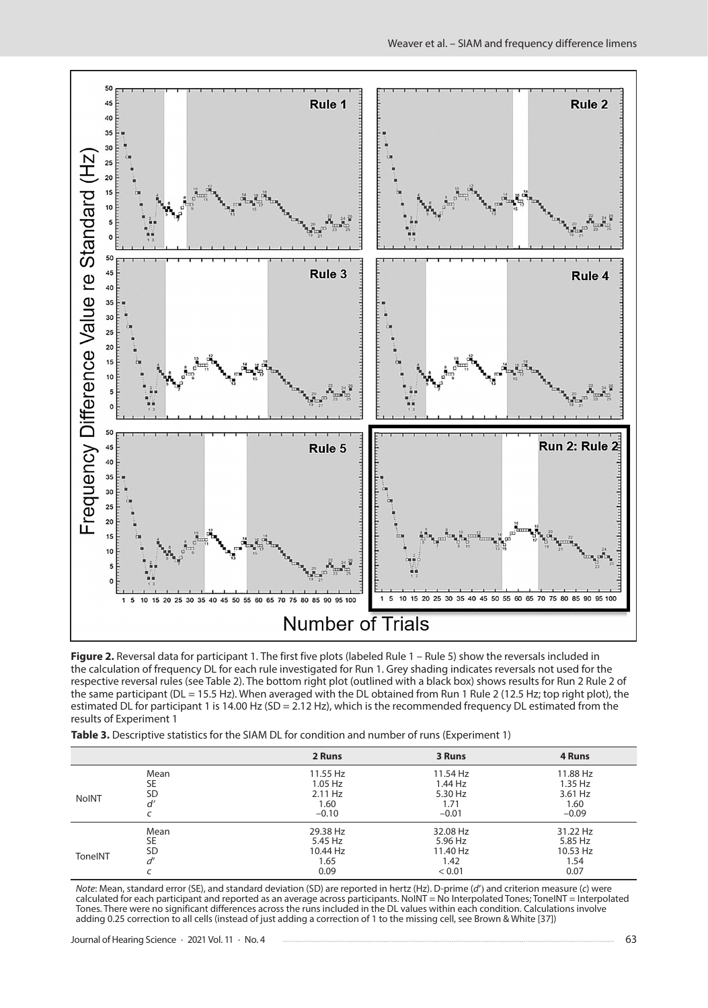

Figure 2. Reversal data for participant 1. The first five plots (labeled Rule 1 – Rule 5) show the reversals included in the calculation of frequency DL for each rule investigated for Run 1. Grey shading indicates reversals not used for the respective reversal rules (see Table 2). The bottom right plot (outlined with a black box) shows results for Run 2 Rule 2 of the same participant (DL = 15.5 Hz). When averaged with the DL obtained from Run 1 Rule 2 (12.5 Hz; top right plot), the estimated DL for participant 1 is 14.00 Hz (SD = 2.12 Hz), which is the recommended frequency DL estimated from the results of Experiment 1

| Table 3. Descriptive statistics for the SIAM DL for condition and number of runs (Experiment 1) |  |
|-------------------------------------------------------------------------------------------------|--|
|-------------------------------------------------------------------------------------------------|--|

|              |           | 2 Runs    | 3 Runs    | 4 Runs   |
|--------------|-----------|-----------|-----------|----------|
|              | Mean      | 11.55 Hz  | 11.54 Hz  | 11.88 Hz |
|              | <b>SE</b> | $1.05$ Hz | $1.44$ Hz | 1.35 Hz  |
|              | <b>SD</b> | 2.11 Hz   | 5.30 Hz   | 3.61 Hz  |
| <b>NoINT</b> | d'        | 1.60      | 1.71      | 1.60     |
|              |           | $-0.10$   | $-0.01$   | $-0.09$  |
|              | Mean      | 29.38 Hz  | 32.08 Hz  | 31.22 Hz |
| ToneINT      | <b>SE</b> | 5.45 Hz   | 5.96 Hz   | 5.85 Hz  |
|              | <b>SD</b> | 10.44 Hz  | 11.40 Hz  | 10.53 Hz |
|              | d'        | 1.65      | 1.42      | 1.54     |
|              |           | 0.09      | < 0.01    | 0.07     |

*Note*: Mean, standard error (SE), and standard deviation (SD) are reported in hertz (Hz). D-prime (*d'*) and criterion measure (*c*) were<br>calculated for each participant and reported as an average across participants. NoI Tones. There were no significant differences across the runs included in the DL values within each condition. Calculations involve adding 0.25 correction to all cells (instead of just adding a correction of 1 to the missing cell, see Brown & White [37])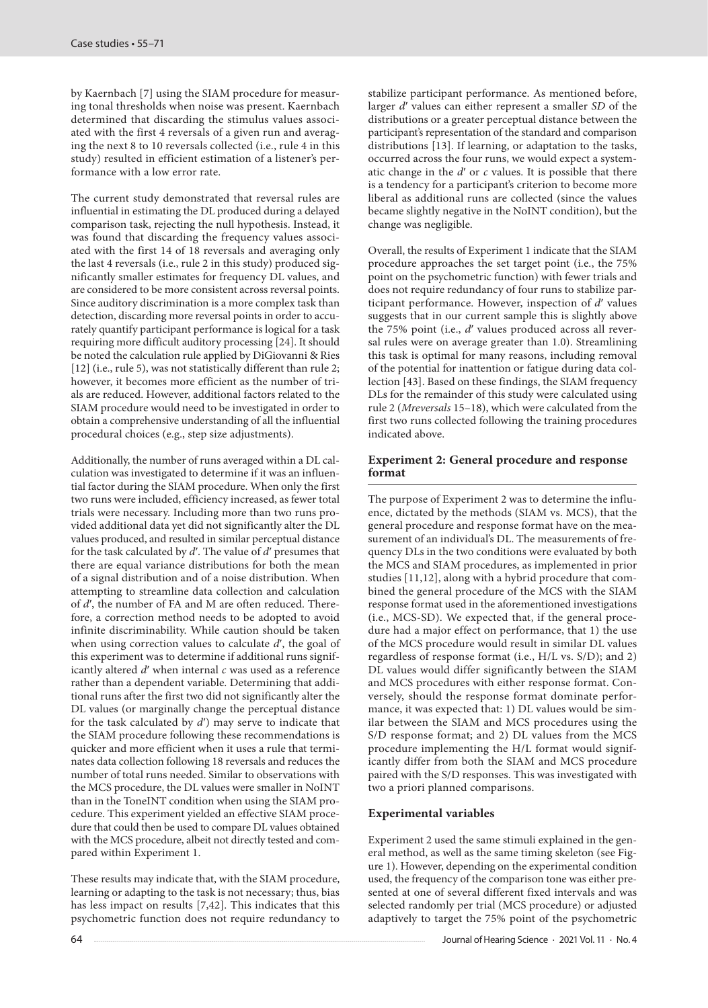by Kaernbach [7] using the SIAM procedure for measuring tonal thresholds when noise was present. Kaernbach determined that discarding the stimulus values associated with the first 4 reversals of a given run and averaging the next 8 to 10 reversals collected (i.e., rule 4 in this study) resulted in efficient estimation of a listener's performance with a low error rate.

The current study demonstrated that reversal rules are influential in estimating the DL produced during a delayed comparison task, rejecting the null hypothesis. Instead, it was found that discarding the frequency values associated with the first 14 of 18 reversals and averaging only the last 4 reversals (i.e., rule 2 in this study) produced significantly smaller estimates for frequency DL values, and are considered to be more consistent across reversal points. Since auditory discrimination is a more complex task than detection, discarding more reversal points in order to accurately quantify participant performance is logical for a task requiring more difficult auditory processing [24]. It should be noted the calculation rule applied by DiGiovanni & Ries [12] (i.e., rule 5), was not statistically different than rule 2; however, it becomes more efficient as the number of trials are reduced. However, additional factors related to the SIAM procedure would need to be investigated in order to obtain a comprehensive understanding of all the influential procedural choices (e.g., step size adjustments).

Additionally, the number of runs averaged within a DL calculation was investigated to determine if it was an influential factor during the SIAM procedure. When only the first two runs were included, efficiency increased, as fewer total trials were necessary. Including more than two runs provided additional data yet did not significantly alter the DL values produced, and resulted in similar perceptual distance for the task calculated by *d*ʹ. The value of *d*ʹ presumes that there are equal variance distributions for both the mean of a signal distribution and of a noise distribution. When attempting to streamline data collection and calculation of *d'*, the number of FA and M are often reduced. Therefore, a correction method needs to be adopted to avoid infinite discriminability. While caution should be taken when using correction values to calculate *d*ʹ, the goal of this experiment was to determine if additional runs significantly altered *d*ʹ when internal *c* was used as a reference rather than a dependent variable. Determining that additional runs after the first two did not significantly alter the DL values (or marginally change the perceptual distance for the task calculated by *d*ʹ) may serve to indicate that the SIAM procedure following these recommendations is quicker and more efficient when it uses a rule that terminates data collection following 18 reversals and reduces the number of total runs needed. Similar to observations with the MCS procedure, the DL values were smaller in NoINT than in the ToneINT condition when using the SIAM procedure. This experiment yielded an effective SIAM procedure that could then be used to compare DL values obtained with the MCS procedure, albeit not directly tested and compared within Experiment 1.

These results may indicate that, with the SIAM procedure, learning or adapting to the task is not necessary; thus, bias has less impact on results [7,42]. This indicates that this psychometric function does not require redundancy to

stabilize participant performance. As mentioned before, larger *d*ʹ values can either represent a smaller *SD* of the distributions or a greater perceptual distance between the participant's representation of the standard and comparison distributions [13]. If learning, or adaptation to the tasks, occurred across the four runs, we would expect a systematic change in the *d*ʹ or *c* values. It is possible that there is a tendency for a participant's criterion to become more liberal as additional runs are collected (since the values became slightly negative in the NoINT condition), but the change was negligible.

Overall, the results of Experiment 1 indicate that the SIAM procedure approaches the set target point (i.e., the 75% point on the psychometric function) with fewer trials and does not require redundancy of four runs to stabilize participant performance. However, inspection of *d*ʹ values suggests that in our current sample this is slightly above the 75% point (i.e., *d'* values produced across all reversal rules were on average greater than 1.0). Streamlining this task is optimal for many reasons, including removal of the potential for inattention or fatigue during data collection [43]. Based on these findings, the SIAM frequency DLs for the remainder of this study were calculated using rule 2 (*Mreversals* 15–18), which were calculated from the first two runs collected following the training procedures indicated above.

# **Experiment 2: General procedure and response format**

The purpose of Experiment 2 was to determine the influence, dictated by the methods (SIAM vs. MCS), that the general procedure and response format have on the measurement of an individual's DL. The measurements of frequency DLs in the two conditions were evaluated by both the MCS and SIAM procedures, as implemented in prior studies [11,12], along with a hybrid procedure that combined the general procedure of the MCS with the SIAM response format used in the aforementioned investigations (i.e., MCS-SD). We expected that, if the general procedure had a major effect on performance, that 1) the use of the MCS procedure would result in similar DL values regardless of response format (i.e., H/L vs. S/D); and 2) DL values would differ significantly between the SIAM and MCS procedures with either response format. Conversely, should the response format dominate performance, it was expected that: 1) DL values would be similar between the SIAM and MCS procedures using the S/D response format; and 2) DL values from the MCS procedure implementing the H/L format would significantly differ from both the SIAM and MCS procedure paired with the S/D responses. This was investigated with two a priori planned comparisons.

# **Experimental variables**

Experiment 2 used the same stimuli explained in the general method, as well as the same timing skeleton (see Figure 1). However, depending on the experimental condition used, the frequency of the comparison tone was either presented at one of several different fixed intervals and was selected randomly per trial (MCS procedure) or adjusted adaptively to target the 75% point of the psychometric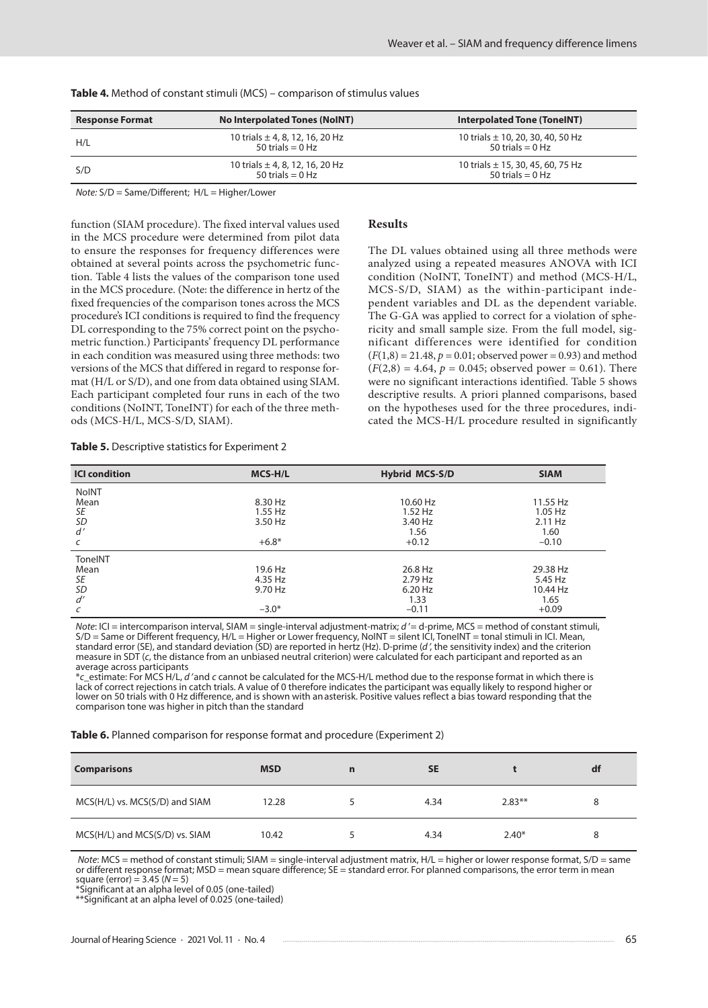| <b>Response Format</b> | <b>No Interpolated Tones (NoINT)</b>                      | <b>Interpolated Tone (ToneINT)</b>                          |
|------------------------|-----------------------------------------------------------|-------------------------------------------------------------|
| H/L                    | 10 trials $\pm$ 4, 8, 12, 16, 20 Hz<br>$50$ trials = 0 Hz | 10 trials $\pm$ 10, 20, 30, 40, 50 Hz<br>50 trials = $0$ Hz |
| S/D                    | 10 trials $\pm$ 4, 8, 12, 16, 20 Hz<br>$50$ trials = 0 Hz | 10 trials $\pm$ 15, 30, 45, 60, 75 Hz<br>50 trials $= 0$ Hz |

**Table 4***.* Method of constant stimuli (MCS) – comparison of stimulus values

*Note:* S/D = Same/Different; H/L = Higher/Lower

function (SIAM procedure). The fixed interval values used in the MCS procedure were determined from pilot data to ensure the responses for frequency differences were obtained at several points across the psychometric function. Table 4 lists the values of the comparison tone used in the MCS procedure. (Note: the difference in hertz of the fixed frequencies of the comparison tones across the MCS procedure's ICI conditions is required to find the frequency DL corresponding to the 75% correct point on the psychometric function.) Participants' frequency DL performance in each condition was measured using three methods: two versions of the MCS that differed in regard to response format (H/L or S/D), and one from data obtained using SIAM. Each participant completed four runs in each of the two conditions (NoINT, ToneINT) for each of the three methods (MCS-H/L, MCS-S/D, SIAM).

#### **Results**

The DL values obtained using all three methods were analyzed using a repeated measures ANOVA with ICI condition (NoINT, ToneINT) and method (MCS-H/L, MCS-S/D, SIAM) as the within-participant independent variables and DL as the dependent variable. The G-GA was applied to correct for a violation of sphericity and small sample size. From the full model, significant differences were identified for condition  $(F(1,8) = 21.48, p = 0.01;$  observed power = 0.93) and method  $(F(2,8) = 4.64, p = 0.045;$  observed power = 0.61). There were no significant interactions identified. Table 5 shows descriptive results. A priori planned comparisons, based on the hypotheses used for the three procedures, indicated the MCS-H/L procedure resulted in significantly

| <b>ICI condition</b> | MCS-H/L | <b>Hybrid MCS-S/D</b> | <b>SIAM</b> |
|----------------------|---------|-----------------------|-------------|
| <b>NoINT</b>         |         |                       |             |
| Mean                 | 8.30 Hz | 10.60 Hz              | 11.55 Hz    |
| SE                   | 1.55 Hz | $1.52$ Hz             | $1.05$ Hz   |
| <b>SD</b>            | 3.50 Hz | 3.40 Hz               | 2.11 Hz     |
| d'                   |         | 1.56                  | 1.60        |
| C                    | $+6.8*$ | $+0.12$               | $-0.10$     |
| ToneINT              |         |                       |             |
| Mean                 | 19.6 Hz | 26.8 Hz               | 29.38 Hz    |
| SE                   | 4.35 Hz | 2.79 Hz               | 5.45 Hz     |
| <b>SD</b>            | 9.70 Hz | 6.20 Hz               | 10.44 Hz    |
| d'                   |         | 1.33                  | 1.65        |
| C                    | $-3.0*$ | $-0.11$               | $+0.09$     |

#### **Table 5.** Descriptive statistics for Experiment 2

*Note*: ICI = intercomparison interval, SIAM = single-interval adjustment-matrix; *d′* = d-prime, MCS = method of constant stimuli, S/D = Same or Different frequency, H/L = Higher or Lower frequency, NoINT = silent ICI, ToneINT = tonal stimuli in ICI. Mean, standard error (SE), and standard deviation (SD) are reported in hertz (Hz). D-prime (*d′*, the sensitivity index) and the criterion measure in SDT (*c*, the distance from an unbiased neutral criterion) were calculated for each participant and reported as an

average across participants<br>\*c\_estimate: For MCS H/L, *d* ′and *c* cannot be calculated for the MCS-H/L method due to the response format in which there is lack of correct rejections in catch trials. A value of 0 therefore indicates the participant was equally likely to respond higher or lower on 50 trials with 0 Hz difference, and is shown with anasterisk. Positive values reflect a bias toward responding that the comparison tone was higher in pitch than the standard

**Table 6.** Planned comparison for response format and procedure (Experiment 2)

| <b>Comparisons</b>             | <b>MSD</b> | n | <b>SE</b> |          | df |
|--------------------------------|------------|---|-----------|----------|----|
| MCS(H/L) vs. MCS(S/D) and SIAM | 12.28      |   | 4.34      | $2.83**$ |    |
| MCS(H/L) and MCS(S/D) vs. SIAM | 10.42      |   | 4.34      | $2.40*$  |    |

*Note*: MCS = method of constant stimuli; SIAM = single-interval adjustment matrix, H/L = higher or lower response format, S/D = same or different response format; MSD = mean square difference; SE = standard error. For planned comparisons, the error term in mean square (error) = 3.45 (*N* = 5)

\*Significant at an alpha level of 0.05 (one-tailed)

\*\*Significant at an alpha level of 0.025 (one-tailed)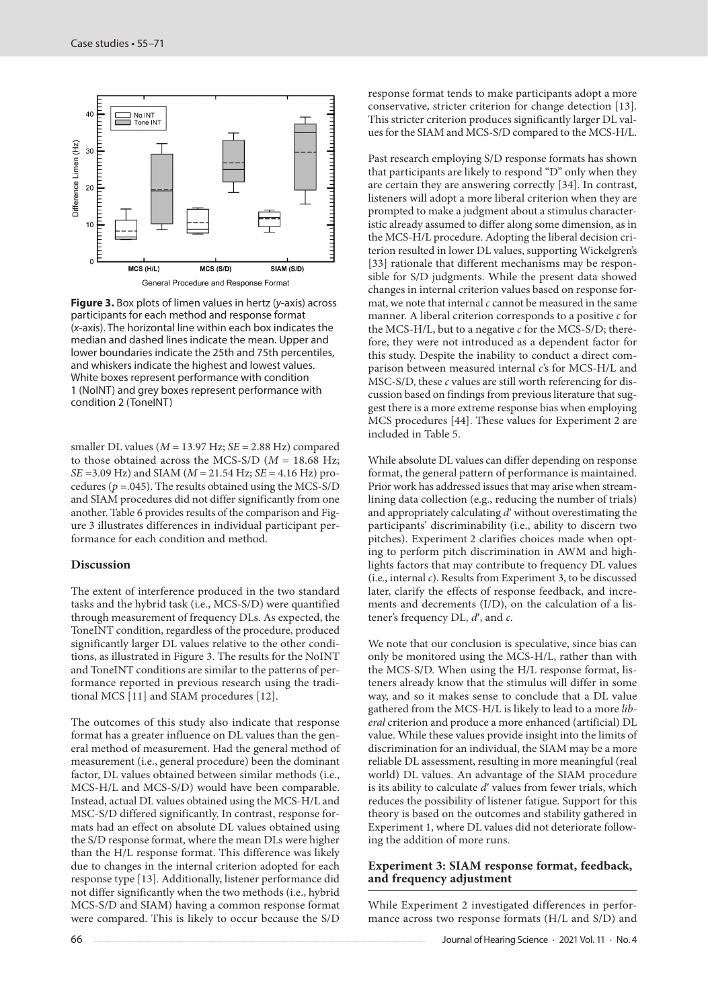

**Figure 3.** Box plots of limen values in hertz (*y*-axis) across participants for each method and response format (*x*-axis). The horizontal line within each box indicates the median and dashed lines indicate the mean. Upper and lower boundaries indicate the 25th and 75th percentiles, and whiskers indicate the highest and lowest values. White boxes represent performance with condition 1 (NoINT) and grey boxes represent performance with condition 2 (ToneINT)

smaller DL values (*M* = 13.97 Hz; *SE* = 2.88 Hz) compared to those obtained across the MCS-S/D (*M* = 18.68 Hz; *SE* =3.09 Hz) and SIAM (*M* = 21.54 Hz; *SE* = 4.16 Hz) procedures ( $p = .045$ ). The results obtained using the MCS-S/D and SIAM procedures did not differ significantly from one another. Table 6 provides results of the comparison and Figure 3 illustrates differences in individual participant performance for each condition and method.

#### **Discussion**

The extent of interference produced in the two standard tasks and the hybrid task (i.e., MCS-S/D) were quantified through measurement of frequency DLs. As expected, the ToneINT condition, regardless of the procedure, produced significantly larger DL values relative to the other conditions, as illustrated in Figure 3. The results for the NoINT and ToneINT conditions are similar to the patterns of performance reported in previous research using the traditional MCS [11] and SIAM procedures [12].

The outcomes of this study also indicate that response format has a greater influence on DL values than the general method of measurement. Had the general method of measurement (i.e., general procedure) been the dominant factor, DL values obtained between similar methods (i.e., MCS-H/L and MCS-S/D) would have been comparable. Instead, actual DL values obtained using the MCS-H/L and MSC-S/D differed significantly. In contrast, response formats had an effect on absolute DL values obtained using the S/D response format, where the mean DLs were higher than the H/L response format. This difference was likely due to changes in the internal criterion adopted for each response type [13]. Additionally, listener performance did not differ significantly when the two methods (i.e., hybrid MCS-S/D and SIAM) having a common response format were compared. This is likely to occur because the S/D

response format tends to make participants adopt a more conservative, stricter criterion for change detection [13]. This stricter criterion produces significantly larger DL values for the SIAM and MCS-S/D compared to the MCS-H/L.

Past research employing S/D response formats has shown that participants are likely to respond "D" only when they are certain they are answering correctly [34]. In contrast, listeners will adopt a more liberal criterion when they are prompted to make a judgment about a stimulus characteristic already assumed to differ along some dimension, as in the MCS-H/L procedure. Adopting the liberal decision criterion resulted in lower DL values, supporting Wickelgren's [33] rationale that different mechanisms may be responsible for S/D judgments. While the present data showed changes in internal criterion values based on response format, we note that internal *c* cannot be measured in the same manner. A liberal criterion corresponds to a positive *c* for the MCS-H/L, but to a negative *c* for the MCS-S/D; therefore, they were not introduced as a dependent factor for this study. Despite the inability to conduct a direct comparison between measured internal *c*'s for MCS-H/L and MSC-S/D, these *c* values are still worth referencing for discussion based on findings from previous literature that suggest there is a more extreme response bias when employing MCS procedures [44]. These values for Experiment 2 are included in Table 5.

While absolute DL values can differ depending on response format, the general pattern of performance is maintained. Prior work has addressed issues that may arise when streamlining data collection (e.g., reducing the number of trials) and appropriately calculating *d*ʹ without overestimating the participants' discriminability (i.e., ability to discern two pitches). Experiment 2 clarifies choices made when opting to perform pitch discrimination in AWM and highlights factors that may contribute to frequency DL values (i.e., internal *c*). Results from Experiment 3, to be discussed later, clarify the effects of response feedback, and increments and decrements (I/D), on the calculation of a listener's frequency DL, *d*ʹ, and *c*.

We note that our conclusion is speculative, since bias can only be monitored using the MCS-H/L, rather than with the MCS-S/D. When using the H/L response format, listeners already know that the stimulus will differ in some way, and so it makes sense to conclude that a DL value gathered from the MCS-H/L is likely to lead to a more *liberal* criterion and produce a more enhanced (artificial) DL value. While these values provide insight into the limits of discrimination for an individual, the SIAM may be a more reliable DL assessment, resulting in more meaningful (real world) DL values. An advantage of the SIAM procedure is its ability to calculate *d*ʹ values from fewer trials, which reduces the possibility of listener fatigue. Support for this theory is based on the outcomes and stability gathered in Experiment 1, where DL values did not deteriorate following the addition of more runs.

#### **Experiment 3: SIAM response format, feedback, and frequency adjustment**

While Experiment 2 investigated differences in performance across two response formats (H/L and S/D) and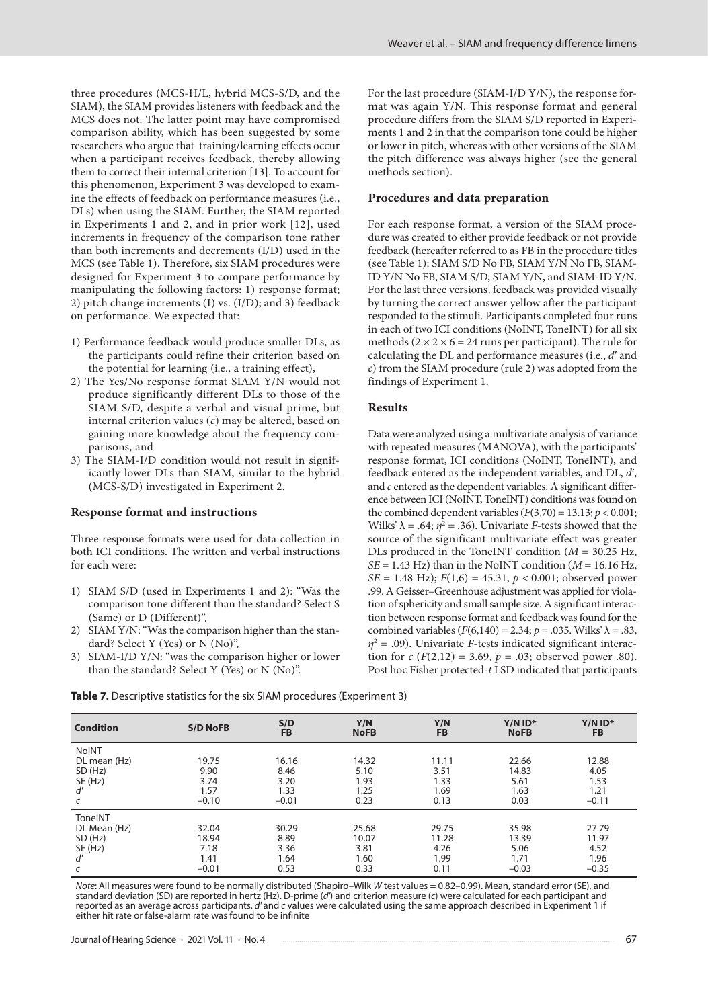three procedures (MCS-H/L, hybrid MCS-S/D, and the SIAM), the SIAM provides listeners with feedback and the MCS does not. The latter point may have compromised comparison ability, which has been suggested by some researchers who argue that training/learning effects occur when a participant receives feedback, thereby allowing them to correct their internal criterion [13]. To account for this phenomenon, Experiment 3 was developed to examine the effects of feedback on performance measures (i.e., DLs) when using the SIAM. Further, the SIAM reported in Experiments 1 and 2, and in prior work [12], used increments in frequency of the comparison tone rather than both increments and decrements (I/D) used in the MCS (see Table 1). Therefore, six SIAM procedures were designed for Experiment 3 to compare performance by manipulating the following factors: 1) response format; 2) pitch change increments (I) vs. (I/D); and 3) feedback on performance. We expected that:

- 1) Performance feedback would produce smaller DLs, as the participants could refine their criterion based on the potential for learning (i.e., a training effect),
- 2) The Yes/No response format SIAM Y/N would not produce significantly different DLs to those of the SIAM S/D, despite a verbal and visual prime, but internal criterion values (*c*) may be altered, based on gaining more knowledge about the frequency comparisons, and
- 3) The SIAM-I/D condition would not result in significantly lower DLs than SIAM, similar to the hybrid (MCS-S/D) investigated in Experiment 2.

#### **Response format and instructions**

Three response formats were used for data collection in both ICI conditions. The written and verbal instructions for each were:

- 1) SIAM S/D (used in Experiments 1 and 2): "Was the comparison tone different than the standard? Select S (Same) or D (Different)",
- 2) SIAM Y/N: "Was the comparison higher than the standard? Select Y (Yes) or N (No)",
- 3) SIAM-I/D Y/N: "was the comparison higher or lower than the standard? Select Y (Yes) or N (No)".

For the last procedure (SIAM-I/D Y/N), the response format was again Y/N. This response format and general procedure differs from the SIAM S/D reported in Experiments 1 and 2 in that the comparison tone could be higher or lower in pitch, whereas with other versions of the SIAM the pitch difference was always higher (see the general methods section).

### **Procedures and data preparation**

For each response format, a version of the SIAM procedure was created to either provide feedback or not provide feedback (hereafter referred to as FB in the procedure titles (see Table 1): SIAM S/D No FB, SIAM Y/N No FB, SIAM-ID Y/N No FB, SIAM S/D, SIAM Y/N, and SIAM-ID Y/N. For the last three versions, feedback was provided visually by turning the correct answer yellow after the participant responded to the stimuli. Participants completed four runs in each of two ICI conditions (NoINT, ToneINT) for all six methods  $(2 \times 2 \times 6 = 24$  runs per participant). The rule for calculating the DL and performance measures (i.e., *d*ʹ and *c*) from the SIAM procedure (rule 2) was adopted from the findings of Experiment 1.

#### **Results**

Data were analyzed using a multivariate analysis of variance with repeated measures (MANOVA), with the participants' response format, ICI conditions (NoINT, ToneINT), and feedback entered as the independent variables, and DL, *d*ʹ, and *c* entered as the dependent variables. A significant difference between ICI (NoINT, ToneINT) conditions was found on the combined dependent variables  $(F(3,70) = 13.13; p < 0.001;$ Wilks'  $\lambda = .64; \eta^2 = .36$ ). Univariate *F*-tests showed that the source of the significant multivariate effect was greater DLs produced in the ToneINT condition (*M* = 30.25 Hz,  $SE = 1.43$  Hz) than in the NoINT condition ( $M = 16.16$  Hz, *SE* = 1.48 Hz); *F*(1,6) = 45.31, *p* < 0.001; observed power .99. A Geisser–Greenhouse adjustment was applied for violation of sphericity and small sample size. A significant interaction between response format and feedback was found for the combined variables ( $F(6,140) = 2.34; p = .035$ . Wilks'  $\lambda = .83$ ,  $\eta^2$  = .09). Univariate *F*-tests indicated significant interaction for *c* ( $F(2,12) = 3.69$ ,  $p = .03$ ; observed power .80). Post hoc Fisher protected-*t* LSD indicated that participants

**Table 7***.* Descriptive statistics for the six SIAM procedures (Experiment 3)

| <b>Condition</b> | <b>S/D NoFB</b> | S/D<br><b>FB</b> | Y/N<br><b>NoFB</b> | Y/N<br><b>FB</b> | $Y/N$ ID*<br><b>NoFB</b> | $Y/N$ ID*<br><b>FB</b> |
|------------------|-----------------|------------------|--------------------|------------------|--------------------------|------------------------|
| <b>NoINT</b>     |                 |                  |                    |                  |                          |                        |
| DL mean (Hz)     | 19.75           | 16.16            | 14.32              | 11.11            | 22.66                    | 12.88                  |
| SD (Hz)          | 9.90            | 8.46             | 5.10               | 3.51             | 14.83                    | 4.05                   |
| SE (Hz)          | 3.74            | 3.20             | 1.93               | 1.33             | 5.61                     | 1.53                   |
| ď                | 1.57            | 1.33             | 1.25               | 1.69             | 1.63                     | 1.21                   |
| C                | $-0.10$         | $-0.01$          | 0.23               | 0.13             | 0.03                     | $-0.11$                |
| ToneINT          |                 |                  |                    |                  |                          |                        |
| DL Mean (Hz)     | 32.04           | 30.29            | 25.68              | 29.75            | 35.98                    | 27.79                  |
| SD (Hz)          | 18.94           | 8.89             | 10.07              | 11.28            | 13.39                    | 11.97                  |
| SE (Hz)          | 7.18            | 3.36             | 3.81               | 4.26             | 5.06                     | 4.52                   |
| d'               | 1.41            | 1.64             | 1.60               | 1.99             | 1.71                     | 1.96                   |
| $\epsilon$       | $-0.01$         | 0.53             | 0.33               | 0.11             | $-0.03$                  | $-0.35$                |

*Note*: All measures were found to be normally distributed (Shapiro–Wilk *W* test values = 0.82–0.99). Mean, standard error (SE), and standard deviation (SD) are reported in hertz (Hz). D-prime (*d'*) and criterion measure (*c*) were calculated for each participant and reported as an average across participants. *d'* and *c* values were calculated using the same approach described in Experiment 1 if either hit rate or false-alarm rate was found to be infinite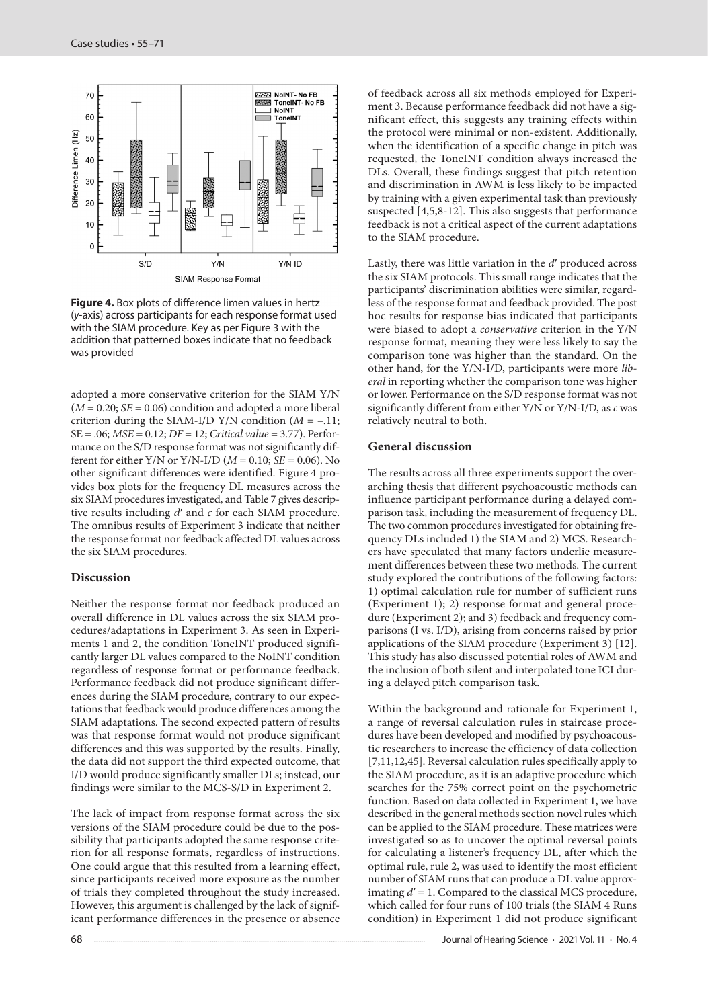

**Figure 4.** Box plots of difference limen values in hertz (*y*-axis) across participants for each response format used with the SIAM procedure. Key as per Figure 3 with the addition that patterned boxes indicate that no feedback was provided

adopted a more conservative criterion for the SIAM Y/N  $(M = 0.20; SE = 0.06)$  condition and adopted a more liberal criterion during the SIAM-I/D Y/N condition  $(M = -.11)$ ; SE = .06; *MSE* = 0.12; *DF* = 12; *Critical value* = 3.77). Performance on the S/D response format was not significantly different for either Y/N or Y/N-I/D (*M* = 0.10; *SE* = 0.06). No other significant differences were identified. Figure 4 provides box plots for the frequency DL measures across the six SIAM procedures investigated, and Table 7 gives descriptive results including *d*ʹ and *c* for each SIAM procedure. The omnibus results of Experiment 3 indicate that neither the response format nor feedback affected DL values across the six SIAM procedures.

### **Discussion**

Neither the response format nor feedback produced an overall difference in DL values across the six SIAM procedures/adaptations in Experiment 3. As seen in Experiments 1 and 2, the condition ToneINT produced significantly larger DL values compared to the NoINT condition regardless of response format or performance feedback. Performance feedback did not produce significant differences during the SIAM procedure, contrary to our expectations that feedback would produce differences among the SIAM adaptations. The second expected pattern of results was that response format would not produce significant differences and this was supported by the results. Finally, the data did not support the third expected outcome, that I/D would produce significantly smaller DLs; instead, our findings were similar to the MCS-S/D in Experiment 2.

The lack of impact from response format across the six versions of the SIAM procedure could be due to the possibility that participants adopted the same response criterion for all response formats, regardless of instructions. One could argue that this resulted from a learning effect, since participants received more exposure as the number of trials they completed throughout the study increased. However, this argument is challenged by the lack of significant performance differences in the presence or absence of feedback across all six methods employed for Experiment 3. Because performance feedback did not have a significant effect, this suggests any training effects within the protocol were minimal or non-existent. Additionally, when the identification of a specific change in pitch was requested, the ToneINT condition always increased the DLs. Overall, these findings suggest that pitch retention and discrimination in AWM is less likely to be impacted by training with a given experimental task than previously suspected [4,5,8-12]. This also suggests that performance feedback is not a critical aspect of the current adaptations to the SIAM procedure.

Lastly, there was little variation in the *d*ʹ produced across the six SIAM protocols. This small range indicates that the participants' discrimination abilities were similar, regardless of the response format and feedback provided. The post hoc results for response bias indicated that participants were biased to adopt a *conservative* criterion in the Y/N response format, meaning they were less likely to say the comparison tone was higher than the standard. On the other hand, for the Y/N-I/D, participants were more *liberal* in reporting whether the comparison tone was higher or lower. Performance on the S/D response format was not significantly different from either Y/N or Y/N-I/D, as *c* was relatively neutral to both.

#### **General discussion**

The results across all three experiments support the overarching thesis that different psychoacoustic methods can influence participant performance during a delayed comparison task, including the measurement of frequency DL. The two common procedures investigated for obtaining frequency DLs included 1) the SIAM and 2) MCS. Researchers have speculated that many factors underlie measurement differences between these two methods. The current study explored the contributions of the following factors: 1) optimal calculation rule for number of sufficient runs (Experiment 1); 2) response format and general procedure (Experiment 2); and 3) feedback and frequency comparisons (I vs. I/D), arising from concerns raised by prior applications of the SIAM procedure (Experiment 3) [12]. This study has also discussed potential roles of AWM and the inclusion of both silent and interpolated tone ICI during a delayed pitch comparison task.

Within the background and rationale for Experiment 1, a range of reversal calculation rules in staircase procedures have been developed and modified by psychoacoustic researchers to increase the efficiency of data collection [7,11,12,45]. Reversal calculation rules specifically apply to the SIAM procedure, as it is an adaptive procedure which searches for the 75% correct point on the psychometric function. Based on data collected in Experiment 1, we have described in the general methods section novel rules which can be applied to the SIAM procedure. These matrices were investigated so as to uncover the optimal reversal points for calculating a listener's frequency DL, after which the optimal rule, rule 2, was used to identify the most efficient number of SIAM runs that can produce a DL value approximating  $d' = 1$ . Compared to the classical MCS procedure, which called for four runs of 100 trials (the SIAM 4 Runs condition) in Experiment 1 did not produce significant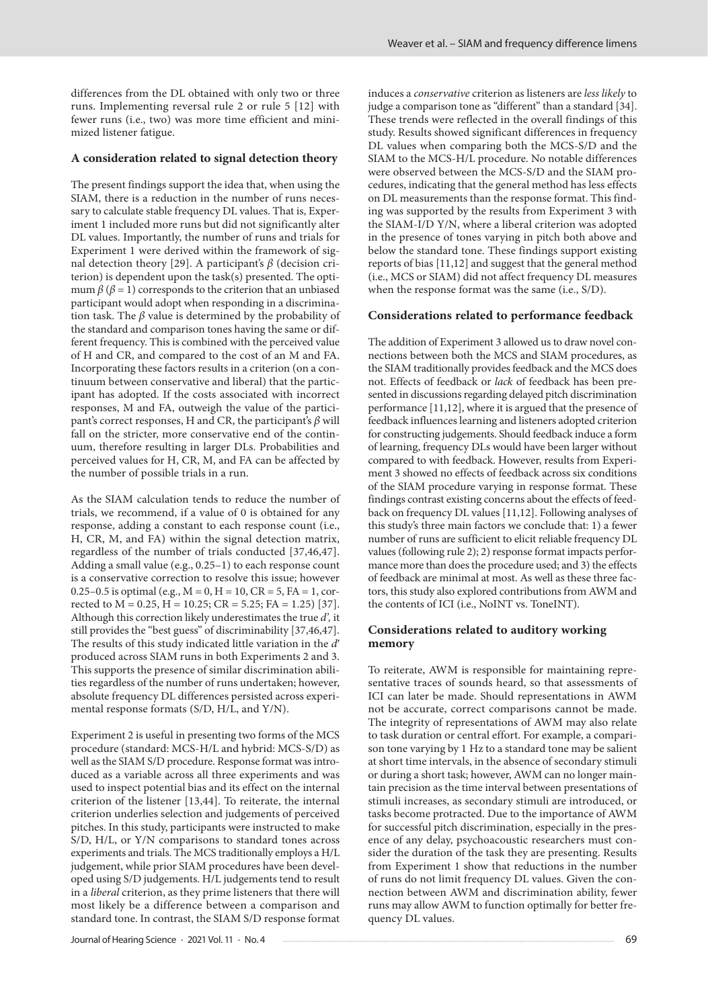differences from the DL obtained with only two or three runs. Implementing reversal rule 2 or rule 5 [12] with fewer runs (i.e., two) was more time efficient and minimized listener fatigue.

#### **A consideration related to signal detection theory**

The present findings support the idea that, when using the SIAM, there is a reduction in the number of runs necessary to calculate stable frequency DL values. That is, Experiment 1 included more runs but did not significantly alter DL values. Importantly, the number of runs and trials for Experiment 1 were derived within the framework of signal detection theory [29]. A participant's *β* (decision criterion) is dependent upon the task(s) presented. The optimum  $\beta$  ( $\beta$  = 1) corresponds to the criterion that an unbiased participant would adopt when responding in a discrimination task. The *β* value is determined by the probability of the standard and comparison tones having the same or different frequency. This is combined with the perceived value of H and CR, and compared to the cost of an M and FA. Incorporating these factors results in a criterion (on a continuum between conservative and liberal) that the participant has adopted. If the costs associated with incorrect responses, M and FA, outweigh the value of the participant's correct responses, H and CR, the participant's *β* will fall on the stricter, more conservative end of the continuum, therefore resulting in larger DLs. Probabilities and perceived values for H, CR, M, and FA can be affected by the number of possible trials in a run.

As the SIAM calculation tends to reduce the number of trials, we recommend, if a value of 0 is obtained for any response, adding a constant to each response count (i.e., H, CR, M, and FA) within the signal detection matrix, regardless of the number of trials conducted [37,46,47]. Adding a small value (e.g., 0.25–1) to each response count is a conservative correction to resolve this issue; however 0.25–0.5 is optimal (e.g.,  $M = 0$ ,  $H = 10$ ,  $CR = 5$ ,  $FA = 1$ , corrected to  $M = 0.25$ ,  $H = 10.25$ ;  $CR = 5.25$ ;  $FA = 1.25$  [37]. Although this correction likely underestimates the true *d',* it still provides the "best guess" of discriminability [37,46,47]. The results of this study indicated little variation in the *d*ʹ produced across SIAM runs in both Experiments 2 and 3. This supports the presence of similar discrimination abilities regardless of the number of runs undertaken; however, absolute frequency DL differences persisted across experimental response formats (S/D, H/L, and Y/N).

Experiment 2 is useful in presenting two forms of the MCS procedure (standard: MCS-H/L and hybrid: MCS-S/D) as well as the SIAM S/D procedure. Response format was introduced as a variable across all three experiments and was used to inspect potential bias and its effect on the internal criterion of the listener [13,44]. To reiterate, the internal criterion underlies selection and judgements of perceived pitches. In this study, participants were instructed to make S/D, H/L, or Y/N comparisons to standard tones across experiments and trials. The MCS traditionally employs a H/L judgement, while prior SIAM procedures have been developed using S/D judgements. H/L judgements tend to result in a *liberal* criterion, as they prime listeners that there will most likely be a difference between a comparison and standard tone. In contrast, the SIAM S/D response format induces a *conservative* criterion as listeners are *less likely* to judge a comparison tone as "different" than a standard [34]. These trends were reflected in the overall findings of this study. Results showed significant differences in frequency DL values when comparing both the MCS-S/D and the SIAM to the MCS-H/L procedure. No notable differences were observed between the MCS-S/D and the SIAM procedures, indicating that the general method has less effects on DL measurements than the response format. This finding was supported by the results from Experiment 3 with the SIAM-I/D Y/N, where a liberal criterion was adopted in the presence of tones varying in pitch both above and below the standard tone. These findings support existing reports of bias [11,12] and suggest that the general method (i.e., MCS or SIAM) did not affect frequency DL measures when the response format was the same (i.e., S/D).

#### **Considerations related to performance feedback**

The addition of Experiment 3 allowed us to draw novel connections between both the MCS and SIAM procedures, as the SIAM traditionally provides feedback and the MCS does not. Effects of feedback or *lack* of feedback has been presented in discussions regarding delayed pitch discrimination performance [11,12], where it is argued that the presence of feedback influences learning and listeners adopted criterion for constructing judgements. Should feedback induce a form of learning, frequency DLs would have been larger without compared to with feedback. However, results from Experiment 3 showed no effects of feedback across six conditions of the SIAM procedure varying in response format. These findings contrast existing concerns about the effects of feedback on frequency DL values [11,12]. Following analyses of this study's three main factors we conclude that: 1) a fewer number of runs are sufficient to elicit reliable frequency DL values (following rule 2); 2) response format impacts performance more than does the procedure used; and 3) the effects of feedback are minimal at most. As well as these three factors, this study also explored contributions from AWM and the contents of ICI (i.e., NoINT vs. ToneINT).

#### **Considerations related to auditory working memory**

To reiterate, AWM is responsible for maintaining representative traces of sounds heard, so that assessments of ICI can later be made. Should representations in AWM not be accurate, correct comparisons cannot be made. The integrity of representations of AWM may also relate to task duration or central effort. For example, a comparison tone varying by 1 Hz to a standard tone may be salient at short time intervals, in the absence of secondary stimuli or during a short task; however, AWM can no longer maintain precision as the time interval between presentations of stimuli increases, as secondary stimuli are introduced, or tasks become protracted. Due to the importance of AWM for successful pitch discrimination, especially in the presence of any delay, psychoacoustic researchers must consider the duration of the task they are presenting. Results from Experiment 1 show that reductions in the number of runs do not limit frequency DL values. Given the connection between AWM and discrimination ability, fewer runs may allow AWM to function optimally for better frequency DL values.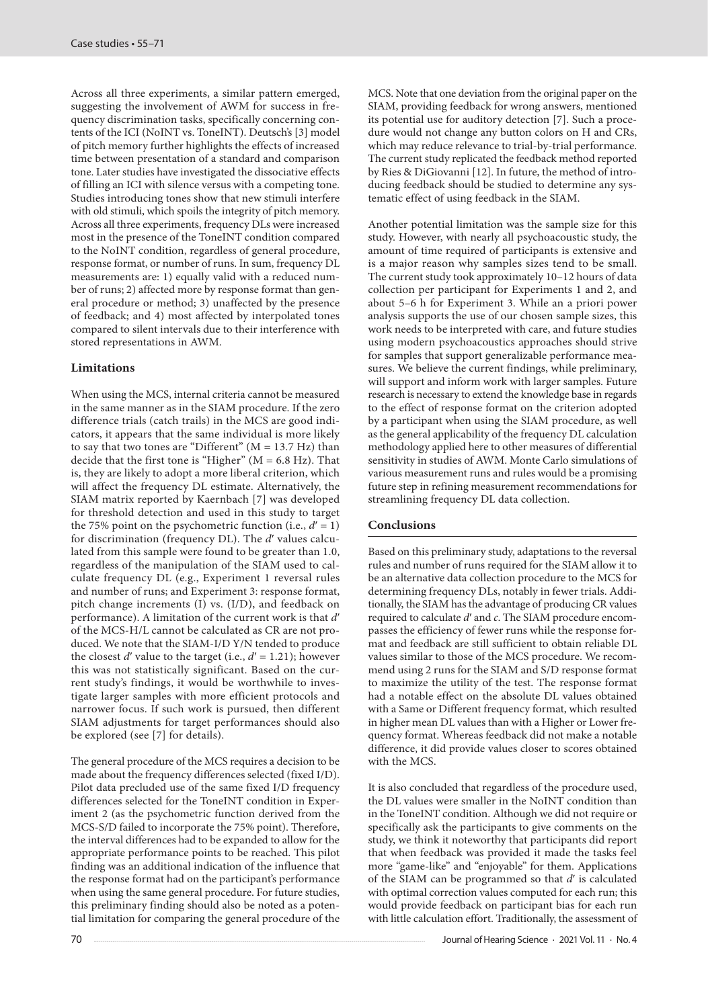Across all three experiments, a similar pattern emerged, suggesting the involvement of AWM for success in frequency discrimination tasks, specifically concerning contents of the ICI (NoINT vs. ToneINT). Deutsch's [3] model of pitch memory further highlights the effects of increased time between presentation of a standard and comparison tone. Later studies have investigated the dissociative effects of filling an ICI with silence versus with a competing tone. Studies introducing tones show that new stimuli interfere with old stimuli, which spoils the integrity of pitch memory. Across all three experiments, frequency DLs were increased most in the presence of the ToneINT condition compared to the NoINT condition, regardless of general procedure, response format, or number of runs. In sum, frequency DL measurements are: 1) equally valid with a reduced number of runs; 2) affected more by response format than general procedure or method; 3) unaffected by the presence of feedback; and 4) most affected by interpolated tones compared to silent intervals due to their interference with stored representations in AWM.

# **Limitations**

When using the MCS, internal criteria cannot be measured in the same manner as in the SIAM procedure. If the zero difference trials (catch trails) in the MCS are good indicators, it appears that the same individual is more likely to say that two tones are "Different" ( $M = 13.7$  Hz) than decide that the first tone is "Higher"  $(M = 6.8 \text{ Hz})$ . That is, they are likely to adopt a more liberal criterion, which will affect the frequency DL estimate. Alternatively, the SIAM matrix reported by Kaernbach [7] was developed for threshold detection and used in this study to target the 75% point on the psychometric function (i.e.,  $d' = 1$ ) for discrimination (frequency DL). The *d*ʹ values calculated from this sample were found to be greater than 1.0, regardless of the manipulation of the SIAM used to calculate frequency DL (e.g., Experiment 1 reversal rules and number of runs; and Experiment 3: response format, pitch change increments (I) vs. (I/D), and feedback on performance). A limitation of the current work is that *d'* of the MCS-H/L cannot be calculated as CR are not produced. We note that the SIAM-I/D Y/N tended to produce the closest  $d'$  value to the target (i.e.,  $d' = 1.21$ ); however this was not statistically significant. Based on the current study's findings, it would be worthwhile to investigate larger samples with more efficient protocols and narrower focus. If such work is pursued, then different SIAM adjustments for target performances should also be explored (see [7] for details).

The general procedure of the MCS requires a decision to be made about the frequency differences selected (fixed I/D). Pilot data precluded use of the same fixed I/D frequency differences selected for the ToneINT condition in Experiment 2 (as the psychometric function derived from the MCS-S/D failed to incorporate the 75% point). Therefore, the interval differences had to be expanded to allow for the appropriate performance points to be reached. This pilot finding was an additional indication of the influence that the response format had on the participant's performance when using the same general procedure. For future studies, this preliminary finding should also be noted as a potential limitation for comparing the general procedure of the MCS. Note that one deviation from the original paper on the SIAM, providing feedback for wrong answers, mentioned its potential use for auditory detection [7]. Such a procedure would not change any button colors on H and CRs, which may reduce relevance to trial-by-trial performance. The current study replicated the feedback method reported by Ries & DiGiovanni [12]. In future, the method of introducing feedback should be studied to determine any systematic effect of using feedback in the SIAM.

Another potential limitation was the sample size for this study. However, with nearly all psychoacoustic study, the amount of time required of participants is extensive and is a major reason why samples sizes tend to be small. The current study took approximately 10–12 hours of data collection per participant for Experiments 1 and 2, and about 5–6 h for Experiment 3. While an a priori power analysis supports the use of our chosen sample sizes, this work needs to be interpreted with care, and future studies using modern psychoacoustics approaches should strive for samples that support generalizable performance measures. We believe the current findings, while preliminary, will support and inform work with larger samples. Future research is necessary to extend the knowledge base in regards to the effect of response format on the criterion adopted by a participant when using the SIAM procedure, as well as the general applicability of the frequency DL calculation methodology applied here to other measures of differential sensitivity in studies of AWM. Monte Carlo simulations of various measurement runs and rules would be a promising future step in refining measurement recommendations for streamlining frequency DL data collection.

# **Conclusions**

Based on this preliminary study, adaptations to the reversal rules and number of runs required for the SIAM allow it to be an alternative data collection procedure to the MCS for determining frequency DLs, notably in fewer trials. Additionally, the SIAM has the advantage of producing CR values required to calculate *d*ʹ and *c*. The SIAM procedure encompasses the efficiency of fewer runs while the response format and feedback are still sufficient to obtain reliable DL values similar to those of the MCS procedure. We recommend using 2 runs for the SIAM and S/D response format to maximize the utility of the test. The response format had a notable effect on the absolute DL values obtained with a Same or Different frequency format, which resulted in higher mean DL values than with a Higher or Lower frequency format. Whereas feedback did not make a notable difference, it did provide values closer to scores obtained with the MCS.

It is also concluded that regardless of the procedure used, the DL values were smaller in the NoINT condition than in the ToneINT condition. Although we did not require or specifically ask the participants to give comments on the study, we think it noteworthy that participants did report that when feedback was provided it made the tasks feel more "game-like" and "enjoyable" for them. Applications of the SIAM can be programmed so that *d*ʹ is calculated with optimal correction values computed for each run; this would provide feedback on participant bias for each run with little calculation effort. Traditionally, the assessment of